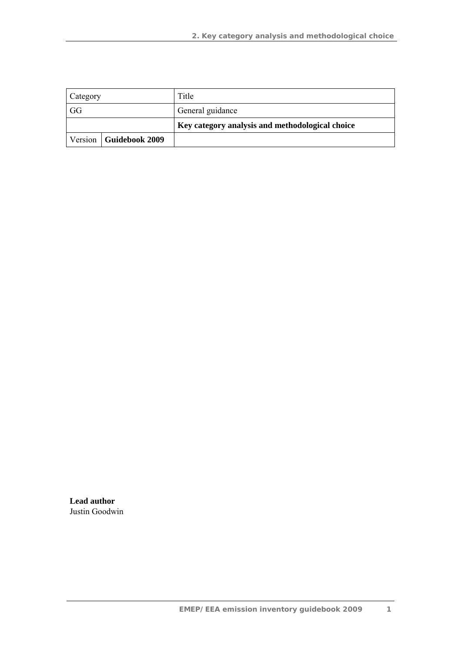| Category                 |  | Title                                           |
|--------------------------|--|-------------------------------------------------|
| GG                       |  | General guidance                                |
|                          |  | Key category analysis and methodological choice |
| Version   Guidebook 2009 |  |                                                 |

**Lead author**  Justin Goodwin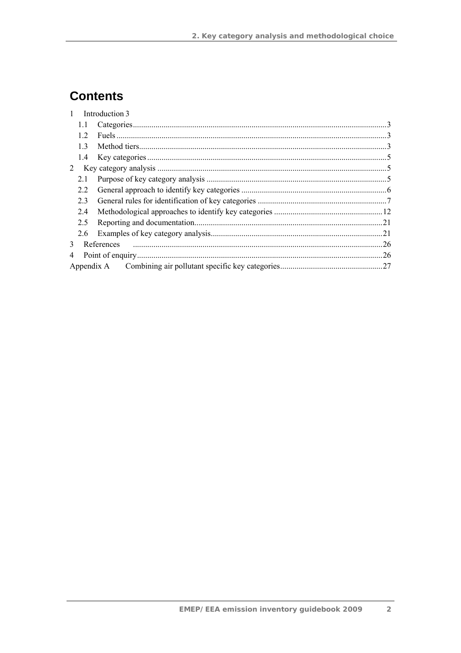# **Contents**

|   |            | Introduction 3 |  |  |  |  |  |
|---|------------|----------------|--|--|--|--|--|
|   | 1.1        |                |  |  |  |  |  |
|   | 12         |                |  |  |  |  |  |
|   | 13         |                |  |  |  |  |  |
|   | 1.4        |                |  |  |  |  |  |
| 2 |            |                |  |  |  |  |  |
|   | 2.1        |                |  |  |  |  |  |
|   | 2.2        |                |  |  |  |  |  |
|   | 2.3        |                |  |  |  |  |  |
|   | 2.4        |                |  |  |  |  |  |
|   | 2.5        |                |  |  |  |  |  |
|   | 2.6        |                |  |  |  |  |  |
| 3 | References |                |  |  |  |  |  |
| 4 |            |                |  |  |  |  |  |
|   |            |                |  |  |  |  |  |
|   |            |                |  |  |  |  |  |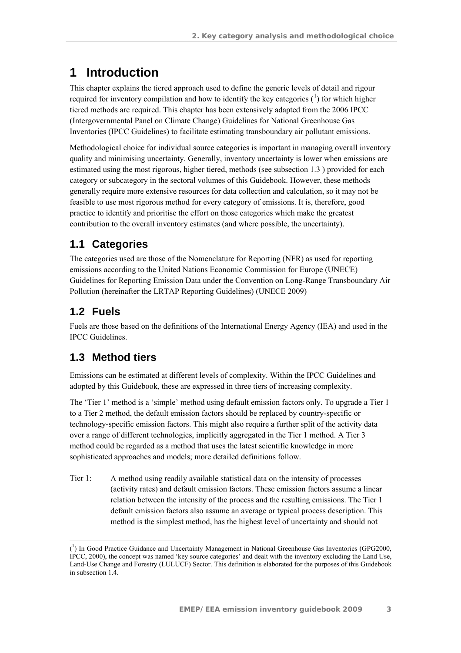# **1 Introduction**

This chapter explains the tiered approach used to define the generic levels of detail and rigour required for inventory compilation and how to identify the key categories  $(1)$  for which higher tiered methods are required. This chapter has been extensively adapted from the 2006 IPCC (Intergovernmental Panel on Climate Change) Guidelines for National Greenhouse Gas Inventories (IPCC Guidelines) to facilitate estimating transboundary air pollutant emissions.

Methodological choice for individual source categories is important in managing overall inventory quality and minimising uncertainty. Generally, inventory uncertainty is lower when emissions are estimated using the most rigorous, higher tiered, methods (see subsection 1.3 ) provided for each category or subcategory in the sectoral volumes of this Guidebook. However, these methods generally require more extensive resources for data collection and calculation, so it may not be feasible to use most rigorous method for every category of emissions. It is, therefore, good practice to identify and prioritise the effort on those categories which make the greatest contribution to the overall inventory estimates (and where possible, the uncertainty).

## **1.1 Categories**

The categories used are those of the Nomenclature for Reporting (NFR) as used for reporting emissions according to the United Nations Economic Commission for Europe (UNECE) Guidelines for Reporting Emission Data under the Convention on Long-Range Transboundary Air Pollution (hereinafter the LRTAP Reporting Guidelines) (UNECE 2009)

## **1.2 Fuels**

 $\overline{a}$ 

Fuels are those based on the definitions of the International Energy Agency (IEA) and used in the IPCC Guidelines.

## **1.3 Method tiers**

Emissions can be estimated at different levels of complexity. Within the IPCC Guidelines and adopted by this Guidebook, these are expressed in three tiers of increasing complexity.

The 'Tier 1' method is a 'simple' method using default emission factors only. To upgrade a Tier 1 to a Tier 2 method, the default emission factors should be replaced by country-specific or technology-specific emission factors. This might also require a further split of the activity data over a range of different technologies, implicitly aggregated in the Tier 1 method. A Tier 3 method could be regarded as a method that uses the latest scientific knowledge in more sophisticated approaches and models; more detailed definitions follow.

Tier 1: A method using readily available statistical data on the intensity of processes (activity rates) and default emission factors. These emission factors assume a linear relation between the intensity of the process and the resulting emissions. The Tier 1 default emission factors also assume an average or typical process description. This method is the simplest method, has the highest level of uncertainty and should not

<sup>(</sup> 1 ) In Good Practice Guidance and Uncertainty Management in National Greenhouse Gas Inventories (GPG2000, IPCC, 2000), the concept was named 'key source categories' and dealt with the inventory excluding the Land Use, Land-Use Change and Forestry (LULUCF) Sector. This definition is elaborated for the purposes of this Guidebook in subsection 1.4.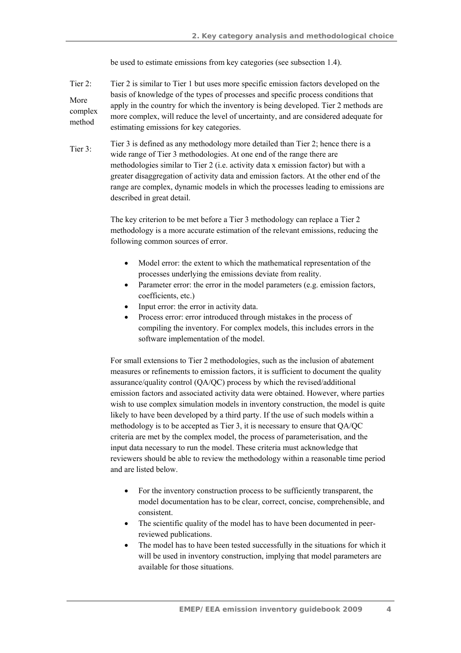be used to estimate emissions from key categories (see subsection 1.4).

- Tier 2: More complex method Tier 2 is similar to Tier 1 but uses more specific emission factors developed on the basis of knowledge of the types of processes and specific process conditions that apply in the country for which the inventory is being developed. Tier 2 methods are more complex, will reduce the level of uncertainty, and are considered adequate for estimating emissions for key categories.
- Tier 3: Tier 3 is defined as any methodology more detailed than Tier 2; hence there is a wide range of Tier 3 methodologies. At one end of the range there are methodologies similar to Tier 2 (i.e. activity data x emission factor) but with a greater disaggregation of activity data and emission factors. At the other end of the range are complex, dynamic models in which the processes leading to emissions are described in great detail.

The key criterion to be met before a Tier 3 methodology can replace a Tier 2 methodology is a more accurate estimation of the relevant emissions, reducing the following common sources of error.

- Model error: the extent to which the mathematical representation of the processes underlying the emissions deviate from reality.
- Parameter error: the error in the model parameters (e.g. emission factors, coefficients, etc.)
- Input error: the error in activity data.
- Process error: error introduced through mistakes in the process of compiling the inventory. For complex models, this includes errors in the software implementation of the model.

For small extensions to Tier 2 methodologies, such as the inclusion of abatement measures or refinements to emission factors, it is sufficient to document the quality assurance/quality control (QA/QC) process by which the revised/additional emission factors and associated activity data were obtained. However, where parties wish to use complex simulation models in inventory construction, the model is quite likely to have been developed by a third party. If the use of such models within a methodology is to be accepted as Tier 3, it is necessary to ensure that QA/QC criteria are met by the complex model, the process of parameterisation, and the input data necessary to run the model. These criteria must acknowledge that reviewers should be able to review the methodology within a reasonable time period and are listed below.

- For the inventory construction process to be sufficiently transparent, the model documentation has to be clear, correct, concise, comprehensible, and consistent.
- The scientific quality of the model has to have been documented in peerreviewed publications.
- The model has to have been tested successfully in the situations for which it will be used in inventory construction, implying that model parameters are available for those situations.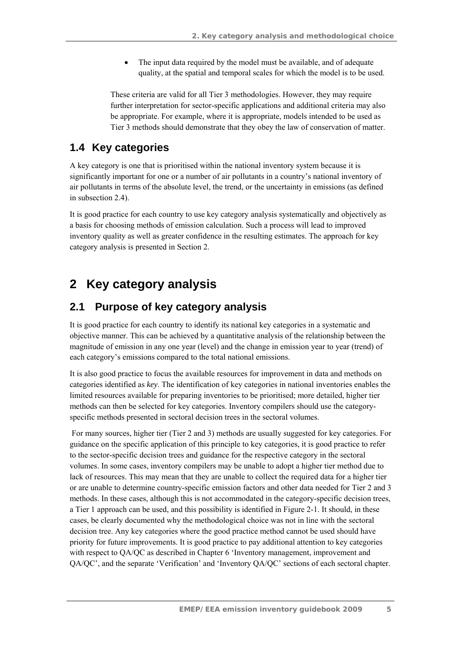• The input data required by the model must be available, and of adequate quality, at the spatial and temporal scales for which the model is to be used.

These criteria are valid for all Tier 3 methodologies. However, they may require further interpretation for sector-specific applications and additional criteria may also be appropriate. For example, where it is appropriate, models intended to be used as Tier 3 methods should demonstrate that they obey the law of conservation of matter.

### **1.4 Key categories**

A key category is one that is prioritised within the national inventory system because it is significantly important for one or a number of air pollutants in a country's national inventory of air pollutants in terms of the absolute level, the trend, or the uncertainty in emissions (as defined in subsection 2.4).

It is good practice for each country to use key category analysis systematically and objectively as a basis for choosing methods of emission calculation. Such a process will lead to improved inventory quality as well as greater confidence in the resulting estimates. The approach for key category analysis is presented in Section 2.

## **2 Key category analysis**

### **2.1 Purpose of key category analysis**

It is good practice for each country to identify its national key categories in a systematic and objective manner. This can be achieved by a quantitative analysis of the relationship between the magnitude of emission in any one year (level) and the change in emission year to year (trend) of each category's emissions compared to the total national emissions.

It is also good practice to focus the available resources for improvement in data and methods on categories identified as *key*. The identification of key categories in national inventories enables the limited resources available for preparing inventories to be prioritised; more detailed, higher tier methods can then be selected for key categories. Inventory compilers should use the categoryspecific methods presented in sectoral decision trees in the sectoral volumes.

 For many sources, higher tier (Tier 2 and 3) methods are usually suggested for key categories. For guidance on the specific application of this principle to key categories, it is good practice to refer to the sector-specific decision trees and guidance for the respective category in the sectoral volumes. In some cases, inventory compilers may be unable to adopt a higher tier method due to lack of resources. This may mean that they are unable to collect the required data for a higher tier or are unable to determine country-specific emission factors and other data needed for Tier 2 and 3 methods. In these cases, although this is not accommodated in the category-specific decision trees, a Tier 1 approach can be used, and this possibility is identified in Figure 2-1. It should, in these cases, be clearly documented why the methodological choice was not in line with the sectoral decision tree. Any key categories where the good practice method cannot be used should have priority for future improvements. It is good practice to pay additional attention to key categories with respect to QA/QC as described in Chapter 6 'Inventory management, improvement and QA/QC', and the separate 'Verification' and 'Inventory QA/QC' sections of each sectoral chapter.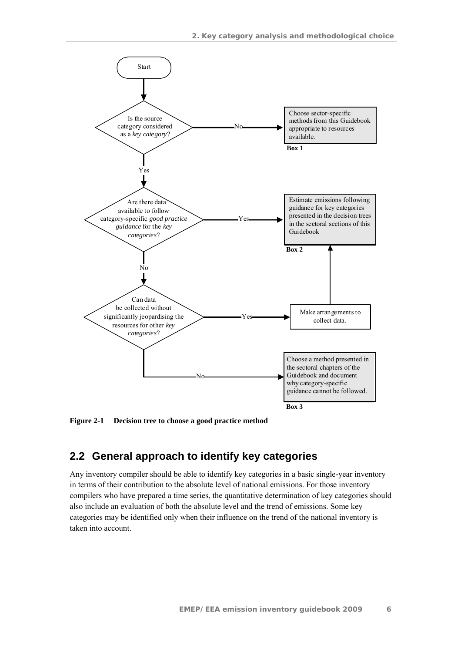

**Figure 2-1 Decision tree to choose a good practice method** 

### **2.2 General approach to identify key categories**

Any inventory compiler should be able to identify key categories in a basic single-year inventory in terms of their contribution to the absolute level of national emissions. For those inventory compilers who have prepared a time series, the quantitative determination of key categories should also include an evaluation of both the absolute level and the trend of emissions. Some key categories may be identified only when their influence on the trend of the national inventory is taken into account.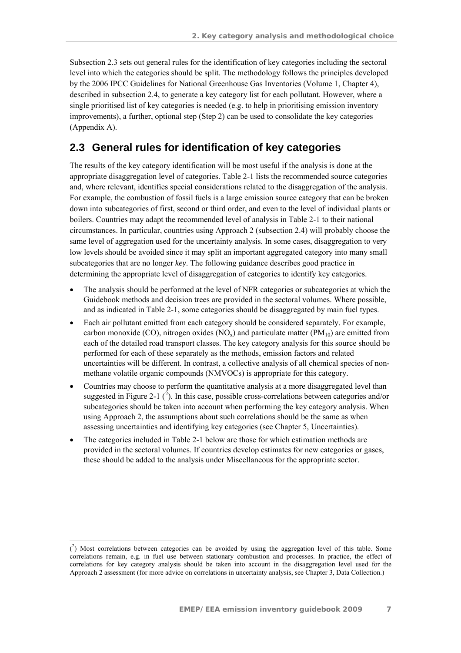Subsection 2.3 sets out general rules for the identification of key categories including the sectoral level into which the categories should be split. The methodology follows the principles developed by the 2006 IPCC Guidelines for National Greenhouse Gas Inventories (Volume 1, Chapter 4), described in subsection 2.4, to generate a key category list for each pollutant. However, where a single prioritised list of key categories is needed (e.g. to help in prioritising emission inventory improvements), a further, optional step (Step 2) can be used to consolidate the key categories (Appendix A).

### **2.3 General rules for identification of key categories**

The results of the key category identification will be most useful if the analysis is done at the appropriate disaggregation level of categories. Table 2-1 lists the recommended source categories and, where relevant, identifies special considerations related to the disaggregation of the analysis. For example, the combustion of fossil fuels is a large emission source category that can be broken down into subcategories of first, second or third order, and even to the level of individual plants or boilers. Countries may adapt the recommended level of analysis in Table 2-1 to their national circumstances. In particular, countries using Approach 2 (subsection 2.4) will probably choose the same level of aggregation used for the uncertainty analysis. In some cases, disaggregation to very low levels should be avoided since it may split an important aggregated category into many small subcategories that are no longer *key*. The following guidance describes good practice in determining the appropriate level of disaggregation of categories to identify key categories.

- The analysis should be performed at the level of NFR categories or subcategories at which the Guidebook methods and decision trees are provided in the sectoral volumes. Where possible, and as indicated in Table 2-1, some categories should be disaggregated by main fuel types.
- Each air pollutant emitted from each category should be considered separately. For example, carbon monoxide (CO), nitrogen oxides  $(NO_x)$  and particulate matter  $(PM_{10})$  are emitted from each of the detailed road transport classes. The key category analysis for this source should be performed for each of these separately as the methods, emission factors and related uncertainties will be different. In contrast, a collective analysis of all chemical species of nonmethane volatile organic compounds (NMVOCs) is appropriate for this category.
- Countries may choose to perform the quantitative analysis at a more disaggregated level than suggested in Figure 2-1  $(\overline{2})$ . In this case, possible cross-correlations between categories and/or subcategories should be taken into account when performing the key category analysis. When using Approach 2, the assumptions about such correlations should be the same as when assessing uncertainties and identifying key categories (see Chapter 5, Uncertainties).
- The categories included in Table 2-1 below are those for which estimation methods are provided in the sectoral volumes. If countries develop estimates for new categories or gases, these should be added to the analysis under Miscellaneous for the appropriate sector.

 $\overline{a}$  $(2)$  Most correlations between categories can be avoided by using the aggregation level of this table. Some correlations remain, e.g. in fuel use between stationary combustion and processes. In practice, the effect of correlations for key category analysis should be taken into account in the disaggregation level used for the Approach 2 assessment (for more advice on correlations in uncertainty analysis, see Chapter 3, Data Collection.)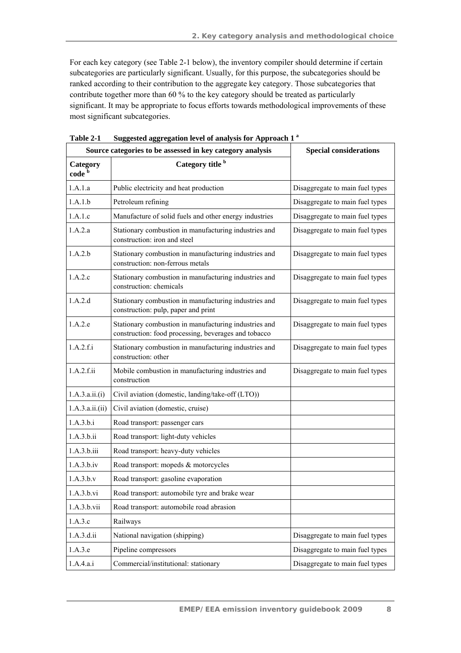For each key category (see Table 2-1 below), the inventory compiler should determine if certain subcategories are particularly significant. Usually, for this purpose, the subcategories should be ranked according to their contribution to the aggregate key category. Those subcategories that contribute together more than 60 % to the key category should be treated as particularly significant. It may be appropriate to focus efforts towards methodological improvements of these most significant subcategories.

|                               | Source categories to be assessed in key category analysis                                                     | <b>Special considerations</b>   |  |
|-------------------------------|---------------------------------------------------------------------------------------------------------------|---------------------------------|--|
| Category<br>code <sup>b</sup> | Category title <sup>b</sup>                                                                                   |                                 |  |
| 1.A.1.a                       | Public electricity and heat production                                                                        | Disaggregate to main fuel types |  |
| 1.A.1.b                       | Petroleum refining                                                                                            | Disaggregate to main fuel types |  |
| 1.A.1.c                       | Manufacture of solid fuels and other energy industries                                                        | Disaggregate to main fuel types |  |
| 1.A.2.a                       | Stationary combustion in manufacturing industries and<br>construction: iron and steel                         | Disaggregate to main fuel types |  |
| 1.A.2.b                       | Stationary combustion in manufacturing industries and<br>construction: non-ferrous metals                     | Disaggregate to main fuel types |  |
| 1.A.2.c                       | Stationary combustion in manufacturing industries and<br>construction: chemicals                              | Disaggregate to main fuel types |  |
| 1.A.2.d                       | Stationary combustion in manufacturing industries and<br>construction: pulp, paper and print                  | Disaggregate to main fuel types |  |
| 1.A.2.e                       | Stationary combustion in manufacturing industries and<br>construction: food processing, beverages and tobacco | Disaggregate to main fuel types |  |
| 1.A.2.f.i                     | Stationary combustion in manufacturing industries and<br>construction: other                                  | Disaggregate to main fuel types |  |
| 1.A.2.f.ii                    | Mobile combustion in manufacturing industries and<br>construction                                             | Disaggregate to main fuel types |  |
| 1.A.3.a.ii.(i)                | Civil aviation (domestic, landing/take-off (LTO))                                                             |                                 |  |
| 1.A.3.a.ii.(ii)               | Civil aviation (domestic, cruise)                                                                             |                                 |  |
| 1.A.3.b.i                     | Road transport: passenger cars                                                                                |                                 |  |
| 1.A.3.b.ii                    | Road transport: light-duty vehicles                                                                           |                                 |  |
| 1.A.3 h.iii                   | Road transport: heavy-duty vehicles                                                                           |                                 |  |
| 1.A.3.b.iv                    | Road transport: mopeds & motorcycles                                                                          |                                 |  |
| 1.A.3.b.v                     | Road transport: gasoline evaporation                                                                          |                                 |  |
| 1.A.3.b.vi                    | Road transport: automobile tyre and brake wear                                                                |                                 |  |
| 1.A.3.b.vii                   | Road transport: automobile road abrasion                                                                      |                                 |  |
| 1.A.3.c                       | Railways                                                                                                      |                                 |  |
| 1.A.3.d.ii                    | National navigation (shipping)                                                                                | Disaggregate to main fuel types |  |
| 1.A.3.e                       | Pipeline compressors                                                                                          | Disaggregate to main fuel types |  |
| 1.A.4.a.i                     | Commercial/institutional: stationary                                                                          | Disaggregate to main fuel types |  |

**Table 2-1 Suggested aggregation level of analysis for Approach 1 a**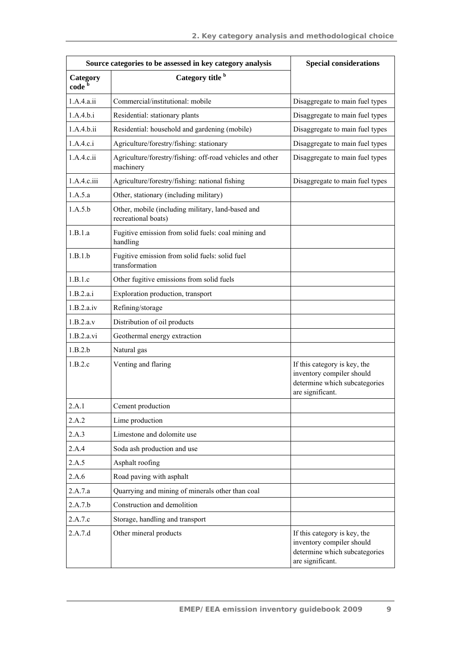|                               | Source categories to be assessed in key category analysis                   | <b>Special considerations</b>                                                                                  |  |  |
|-------------------------------|-----------------------------------------------------------------------------|----------------------------------------------------------------------------------------------------------------|--|--|
| Category<br>code <sup>b</sup> | Category title b                                                            |                                                                                                                |  |  |
| 1.A.4.a.ii                    | Commercial/institutional: mobile                                            | Disaggregate to main fuel types                                                                                |  |  |
| 1.A.4.b.i                     | Residential: stationary plants                                              | Disaggregate to main fuel types                                                                                |  |  |
| 1.A.4.b.ii                    | Residential: household and gardening (mobile)                               | Disaggregate to main fuel types                                                                                |  |  |
| 1.A.4.c.i                     | Agriculture/forestry/fishing: stationary<br>Disaggregate to main fuel types |                                                                                                                |  |  |
| 1.A.4.c.ii                    | Agriculture/forestry/fishing: off-road vehicles and other<br>machinery      | Disaggregate to main fuel types                                                                                |  |  |
| 1.A.4.c.iii                   | Agriculture/forestry/fishing: national fishing                              | Disaggregate to main fuel types                                                                                |  |  |
| 1.A.5.a                       | Other, stationary (including military)                                      |                                                                                                                |  |  |
| 1.A.5.b                       | Other, mobile (including military, land-based and<br>recreational boats)    |                                                                                                                |  |  |
| 1.B.1.a                       | Fugitive emission from solid fuels: coal mining and<br>handling             |                                                                                                                |  |  |
| 1.B.1.b                       | Fugitive emission from solid fuels: solid fuel<br>transformation            |                                                                                                                |  |  |
| 1.B.1.c                       | Other fugitive emissions from solid fuels                                   |                                                                                                                |  |  |
| 1.B.2.a.i                     | Exploration production, transport                                           |                                                                                                                |  |  |
| 1.B.2.a.iv                    | Refining/storage                                                            |                                                                                                                |  |  |
| 1.B.2.a.v                     | Distribution of oil products                                                |                                                                                                                |  |  |
| 1.B.2.a.vi                    | Geothermal energy extraction                                                |                                                                                                                |  |  |
| 1.B.2.b                       | Natural gas                                                                 |                                                                                                                |  |  |
| 1.B.2.c                       | Venting and flaring                                                         | If this category is key, the<br>inventory compiler should<br>determine which subcategories<br>are significant. |  |  |
| 2.A.1                         | Cement production                                                           |                                                                                                                |  |  |
| 2.A.2                         | Lime production                                                             |                                                                                                                |  |  |
| 2.A.3                         | Limestone and dolomite use                                                  |                                                                                                                |  |  |
| 2.A.4                         | Soda ash production and use                                                 |                                                                                                                |  |  |
| 2.A.5                         | Asphalt roofing                                                             |                                                                                                                |  |  |
| 2.A.6                         | Road paving with asphalt                                                    |                                                                                                                |  |  |
| 2.A.7.a                       | Quarrying and mining of minerals other than coal                            |                                                                                                                |  |  |
| 2.A.7.b                       | Construction and demolition                                                 |                                                                                                                |  |  |
| 2.A.7.c                       | Storage, handling and transport                                             |                                                                                                                |  |  |
| 2.A.7.d                       | Other mineral products                                                      | If this category is key, the<br>inventory compiler should<br>determine which subcategories<br>are significant. |  |  |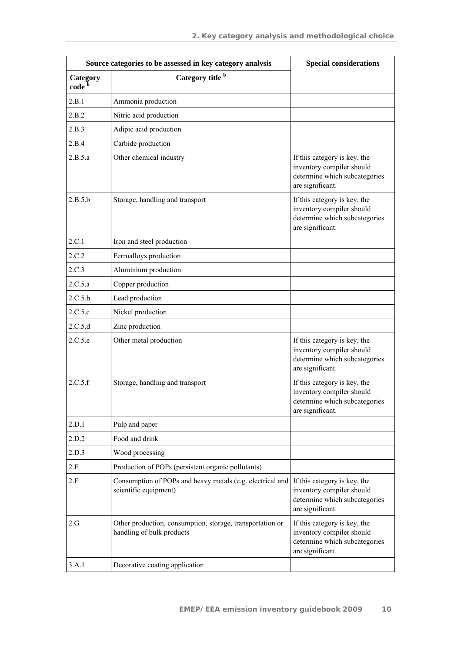|                               | Source categories to be assessed in key category analysis                              | <b>Special considerations</b>                                                                                  |  |
|-------------------------------|----------------------------------------------------------------------------------------|----------------------------------------------------------------------------------------------------------------|--|
| Category<br>code <sup>b</sup> | Category title <sup>b</sup>                                                            |                                                                                                                |  |
| 2.B.1                         | Ammonia production                                                                     |                                                                                                                |  |
| 2.B.2                         | Nitric acid production                                                                 |                                                                                                                |  |
| 2.B.3                         | Adipic acid production                                                                 |                                                                                                                |  |
| 2.B.4                         | Carbide production                                                                     |                                                                                                                |  |
| 2.B.5.a                       | Other chemical industry                                                                | If this category is key, the<br>inventory compiler should<br>determine which subcategories<br>are significant. |  |
| 2.B.5.b                       | Storage, handling and transport                                                        | If this category is key, the<br>inventory compiler should<br>determine which subcategories<br>are significant. |  |
| 2.C.1                         | Iron and steel production                                                              |                                                                                                                |  |
| 2.C.2                         | Ferroalloys production                                                                 |                                                                                                                |  |
| 2.C.3                         | Aluminium production                                                                   |                                                                                                                |  |
| 2.C.5.a                       | Copper production                                                                      |                                                                                                                |  |
| 2.C.5.b                       | Lead production                                                                        |                                                                                                                |  |
| 2.C.5.c                       | Nickel production                                                                      |                                                                                                                |  |
| 2.C.5.d                       | Zinc production                                                                        |                                                                                                                |  |
| 2.C.5.e                       | Other metal production                                                                 | If this category is key, the<br>inventory compiler should<br>determine which subcategories<br>are significant. |  |
| 2.C.5.f                       | Storage, handling and transport                                                        | If this category is key, the<br>inventory compiler should<br>determine which subcategories<br>are significant. |  |
| 2.D.1                         | Pulp and paper                                                                         |                                                                                                                |  |
| 2.D.2                         | Food and drink                                                                         |                                                                                                                |  |
| 2.D.3                         | Wood processing                                                                        |                                                                                                                |  |
| 2.E                           | Production of POPs (persistent organic pollutants)                                     |                                                                                                                |  |
| 2.F                           | Consumption of POPs and heavy metals (e.g. electrical and<br>scientific equipment)     | If this category is key, the<br>inventory compiler should<br>determine which subcategories<br>are significant. |  |
| 2.G                           | Other production, consumption, storage, transportation or<br>handling of bulk products | If this category is key, the<br>inventory compiler should<br>determine which subcategories<br>are significant. |  |
| 3.A.1                         | Decorative coating application                                                         |                                                                                                                |  |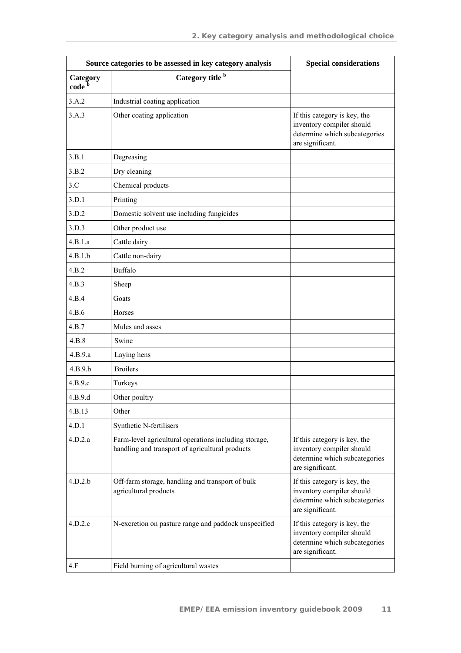|                               | Source categories to be assessed in key category analysis                                                                                                                                   | <b>Special considerations</b>                                                                                  |  |  |
|-------------------------------|---------------------------------------------------------------------------------------------------------------------------------------------------------------------------------------------|----------------------------------------------------------------------------------------------------------------|--|--|
| Category<br>code <sup>b</sup> | Category title b                                                                                                                                                                            |                                                                                                                |  |  |
| 3.A.2                         | Industrial coating application                                                                                                                                                              |                                                                                                                |  |  |
| 3.A.3                         | Other coating application                                                                                                                                                                   | If this category is key, the<br>inventory compiler should<br>determine which subcategories<br>are significant. |  |  |
| 3.B.1                         | Degreasing                                                                                                                                                                                  |                                                                                                                |  |  |
| 3.B.2                         | Dry cleaning                                                                                                                                                                                |                                                                                                                |  |  |
| 3.C                           | Chemical products                                                                                                                                                                           |                                                                                                                |  |  |
| 3.D.1                         | Printing                                                                                                                                                                                    |                                                                                                                |  |  |
| 3.D.2                         | Domestic solvent use including fungicides                                                                                                                                                   |                                                                                                                |  |  |
| 3.D.3                         | Other product use                                                                                                                                                                           |                                                                                                                |  |  |
| 4.B.1.a                       | Cattle dairy                                                                                                                                                                                |                                                                                                                |  |  |
| 4.B.1.b                       | Cattle non-dairy                                                                                                                                                                            |                                                                                                                |  |  |
| 4.B.2                         | <b>Buffalo</b>                                                                                                                                                                              |                                                                                                                |  |  |
| 4.B.3                         | Sheep                                                                                                                                                                                       |                                                                                                                |  |  |
| 4.B.4                         | Goats                                                                                                                                                                                       |                                                                                                                |  |  |
| 4.B.6                         | Horses                                                                                                                                                                                      |                                                                                                                |  |  |
| 4.B.7                         | Mules and asses                                                                                                                                                                             |                                                                                                                |  |  |
| 4.B.8                         | Swine                                                                                                                                                                                       |                                                                                                                |  |  |
| 4.B.9.a                       | Laying hens                                                                                                                                                                                 |                                                                                                                |  |  |
| 4.B.9.b                       | <b>Broilers</b>                                                                                                                                                                             |                                                                                                                |  |  |
| 4.B.9.c                       | Turkeys                                                                                                                                                                                     |                                                                                                                |  |  |
| 4.B.9.d                       | Other poultry                                                                                                                                                                               |                                                                                                                |  |  |
| 4.B.13                        | Other                                                                                                                                                                                       |                                                                                                                |  |  |
| 4.D.1                         | Synthetic N-fertilisers                                                                                                                                                                     |                                                                                                                |  |  |
| 4.D.2.a                       | Farm-level agricultural operations including storage,<br>handling and transport of agricultural products                                                                                    | If this category is key, the<br>inventory compiler should<br>determine which subcategories<br>are significant. |  |  |
| 4.D.2.b                       | Off-farm storage, handling and transport of bulk<br>If this category is key, the<br>agricultural products<br>inventory compiler should<br>determine which subcategories<br>are significant. |                                                                                                                |  |  |
| 4.D.2.c                       | N-excretion on pasture range and paddock unspecified                                                                                                                                        | If this category is key, the<br>inventory compiler should<br>determine which subcategories<br>are significant. |  |  |
| 4.F                           | Field burning of agricultural wastes                                                                                                                                                        |                                                                                                                |  |  |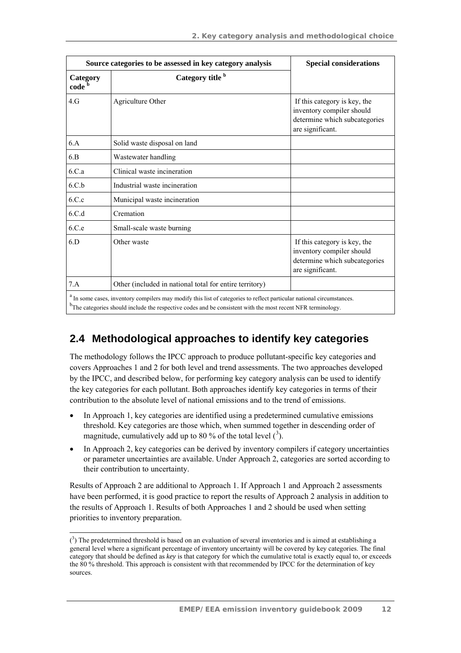|                               | Source categories to be assessed in key category analysis                                                                                                                                                                                                   | <b>Special considerations</b>                                                                                  |
|-------------------------------|-------------------------------------------------------------------------------------------------------------------------------------------------------------------------------------------------------------------------------------------------------------|----------------------------------------------------------------------------------------------------------------|
| Category<br>code <sup>b</sup> | Category title <sup>b</sup>                                                                                                                                                                                                                                 |                                                                                                                |
| 4. G                          | Agriculture Other                                                                                                                                                                                                                                           | If this category is key, the<br>inventory compiler should<br>determine which subcategories<br>are significant. |
| 6.A                           | Solid waste disposal on land                                                                                                                                                                                                                                |                                                                                                                |
| 6.B                           | Wastewater handling                                                                                                                                                                                                                                         |                                                                                                                |
| 6.C.a                         | Clinical waste incineration                                                                                                                                                                                                                                 |                                                                                                                |
| 6.C.b                         | Industrial waste incineration                                                                                                                                                                                                                               |                                                                                                                |
| 6.C.c                         | Municipal waste incineration                                                                                                                                                                                                                                |                                                                                                                |
| 6.C.d                         | Cremation                                                                                                                                                                                                                                                   |                                                                                                                |
| 6.C.e                         | Small-scale waste burning                                                                                                                                                                                                                                   |                                                                                                                |
| 6.D                           | Other waste                                                                                                                                                                                                                                                 | If this category is key, the<br>inventory compiler should<br>determine which subcategories<br>are significant. |
| 7.A                           | Other (included in national total for entire territory)                                                                                                                                                                                                     |                                                                                                                |
|                               | <sup>a</sup> In some cases, inventory compilers may modify this list of categories to reflect particular national circumstances.<br><sup>b</sup> The categories should include the respective codes and be consistent with the most recent NFR terminology. |                                                                                                                |

## **2.4 Methodological approaches to identify key categories**

The methodology follows the IPCC approach to produce pollutant-specific key categories and covers Approaches 1 and 2 for both level and trend assessments. The two approaches developed by the IPCC, and described below, for performing key category analysis can be used to identify the key categories for each pollutant. Both approaches identify key categories in terms of their contribution to the absolute level of national emissions and to the trend of emissions.

- In Approach 1, key categories are identified using a predetermined cumulative emissions threshold. Key categories are those which, when summed together in descending order of magnitude, cumulatively add up to 80 % of the total level  $\binom{3}{2}$ .
- In Approach 2, key categories can be derived by inventory compilers if category uncertainties or parameter uncertainties are available. Under Approach 2, categories are sorted according to their contribution to uncertainty.

Results of Approach 2 are additional to Approach 1. If Approach 1 and Approach 2 assessments have been performed, it is good practice to report the results of Approach 2 analysis in addition to the results of Approach 1. Results of both Approaches 1 and 2 should be used when setting priorities to inventory preparation.

 $\overline{a}$  $(3)$  The predetermined threshold is based on an evaluation of several inventories and is aimed at establishing a general level where a significant percentage of inventory uncertainty will be covered by key categories. The final category that should be defined as *key* is that category for which the cumulative total is exactly equal to, or exceeds the 80 % threshold. This approach is consistent with that recommended by IPCC for the determination of key sources.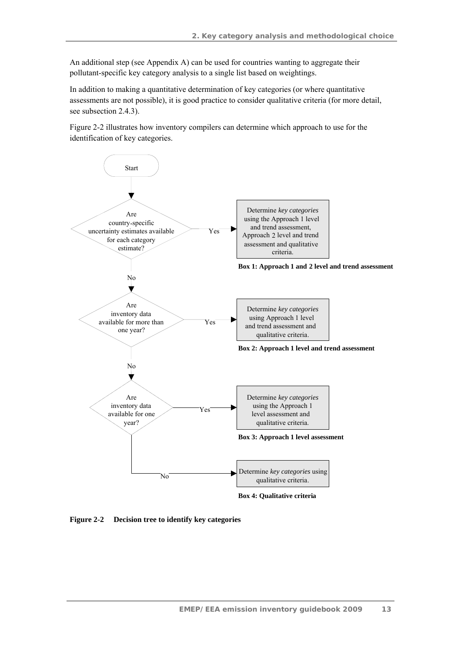An additional step (see Appendix A) can be used for countries wanting to aggregate their pollutant-specific key category analysis to a single list based on weightings.

In addition to making a quantitative determination of key categories (or where quantitative assessments are not possible), it is good practice to consider qualitative criteria (for more detail, see subsection 2.4.3).

Figure 2-2 illustrates how inventory compilers can determine which approach to use for the identification of key categories.



**Figure 2-2 Decision tree to identify key categories**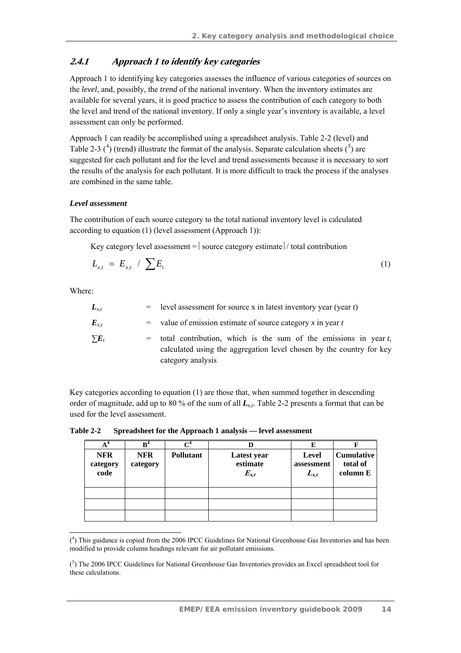### **2.4.1 Approach 1 to identify key categories**

Approach 1 to identifying key categories assesses the influence of various categories of sources on the *level*, and, possibly, the *trend* of the national inventory. When the inventory estimates are available for several years, it is good practice to assess the contribution of each category to both the level and trend of the national inventory. If only a single year's inventory is available, a level assessment can only be performed.

Approach 1 can readily be accomplished using a spreadsheet analysis. Table 2-2 (level) and Table 2-3  $(4)$  (trend) illustrate the format of the analysis. Separate calculation sheets  $(5)$  are suggested for each pollutant and for the level and trend assessments because it is necessary to sort the results of the analysis for each pollutant. It is more difficult to track the process if the analyses are combined in the same table.

#### *Level assessment*

The contribution of each source category to the total national inventory level is calculated according to equation (1) (level assessment (Approach 1)):

Key category level assessment =  $|$  source category estimate  $|/$  total contribution

$$
L_{x,t} = E_{x,t} / \sum E_t
$$
 (1)

Where:

| $L_{x,t}$  |     | $=$ level assessment for source x in latest inventory year (year t)                                                                                              |
|------------|-----|------------------------------------------------------------------------------------------------------------------------------------------------------------------|
| $E_{x,t}$  |     | $=$ value of emission estimate of source category x in year t                                                                                                    |
| $\sum E_t$ | $=$ | total contribution, which is the sum of the emissions in year $t$ ,<br>calculated using the aggregation level chosen by the country for key<br>category analysis |

Key categories according to equation (1) are those that, when summed together in descending order of magnitude, add up to 80 % of the sum of all *Lx,t*. Table 2-2 presents a format that can be used for the level assessment.

**Table 2-2 Spreadsheet for the Approach 1 analysis — level assessment** 

|                                | $B^4$                                      |  |                                      | Е                                       |                                           |
|--------------------------------|--------------------------------------------|--|--------------------------------------|-----------------------------------------|-------------------------------------------|
| <b>NFR</b><br>category<br>code | <b>Pollutant</b><br><b>NFR</b><br>category |  | Latest year<br>estimate<br>$E_{x,t}$ | <b>Level</b><br>assessment<br>$L_{x,t}$ | <b>Cumulative</b><br>total of<br>column E |
|                                |                                            |  |                                      |                                         |                                           |
|                                |                                            |  |                                      |                                         |                                           |
|                                |                                            |  |                                      |                                         |                                           |

 $\overline{a}$ ( 4 ) This guidance is copied from the 2006 IPCC Guidelines for National Greenhouse Gas Inventories and has been modified to provide column headings relevant for air pollutant emissions.

<sup>(</sup> 5 ) The 2006 IPCC Guidelines for National Greenhouse Gas Inventories provides an Excel spreadsheet tool for these calculations.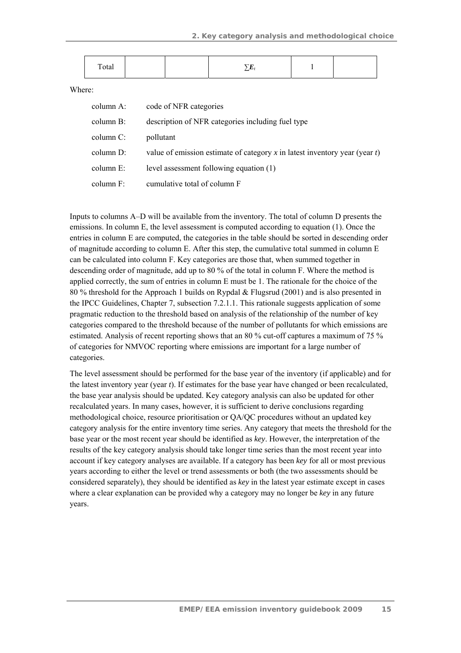| -<br>Total | - |  |  |
|------------|---|--|--|
|------------|---|--|--|

Where:

| column A: | code of NFR categories                                                        |
|-----------|-------------------------------------------------------------------------------|
| column B: | description of NFR categories including fuel type                             |
| column C: | pollutant                                                                     |
| column D: | value of emission estimate of category x in latest inventory year (year $t$ ) |
| column E: | level assessment following equation (1)                                       |
| column F: | cumulative total of column F                                                  |

Inputs to columns A–D will be available from the inventory. The total of column D presents the emissions. In column E, the level assessment is computed according to equation (1). Once the entries in column E are computed, the categories in the table should be sorted in descending order of magnitude according to column E. After this step, the cumulative total summed in column E can be calculated into column F. Key categories are those that, when summed together in descending order of magnitude, add up to 80 % of the total in column F. Where the method is applied correctly, the sum of entries in column E must be 1. The rationale for the choice of the 80 % threshold for the Approach 1 builds on Rypdal & Flugsrud (2001) and is also presented in the IPCC Guidelines, Chapter 7, subsection 7.2.1.1. This rationale suggests application of some pragmatic reduction to the threshold based on analysis of the relationship of the number of key categories compared to the threshold because of the number of pollutants for which emissions are estimated. Analysis of recent reporting shows that an 80 % cut-off captures a maximum of 75 % of categories for NMVOC reporting where emissions are important for a large number of categories.

The level assessment should be performed for the base year of the inventory (if applicable) and for the latest inventory year (year *t*). If estimates for the base year have changed or been recalculated, the base year analysis should be updated. Key category analysis can also be updated for other recalculated years. In many cases, however, it is sufficient to derive conclusions regarding methodological choice, resource prioritisation or QA/QC procedures without an updated key category analysis for the entire inventory time series. Any category that meets the threshold for the base year or the most recent year should be identified as *key*. However, the interpretation of the results of the key category analysis should take longer time series than the most recent year into account if key category analyses are available. If a category has been *key* for all or most previous years according to either the level or trend assessments or both (the two assessments should be considered separately), they should be identified as *key* in the latest year estimate except in cases where a clear explanation can be provided why a category may no longer be *key* in any future years.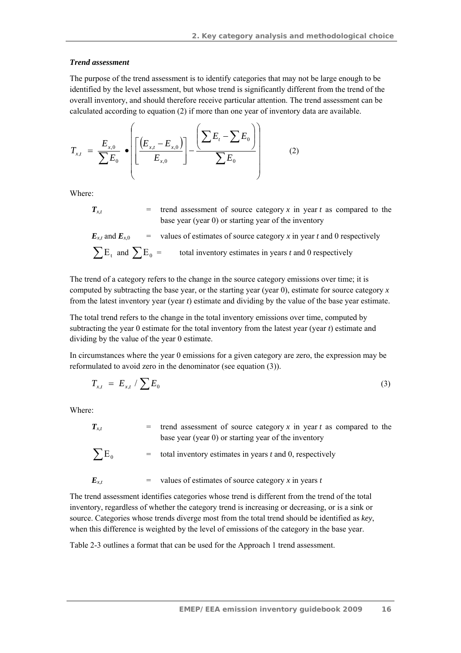#### *Trend assessment*

The purpose of the trend assessment is to identify categories that may not be large enough to be identified by the level assessment, but whose trend is significantly different from the trend of the overall inventory, and should therefore receive particular attention. The trend assessment can be calculated according to equation (2) if more than one year of inventory data are available.

$$
T_{x,t} = \frac{E_{x,0}}{\sum E_0} \cdot \left( \left[ \frac{\left( E_{x,t} - E_{x,0} \right)}{E_{x,0}} \right] - \frac{\left( \sum E_t - \sum E_0 \right)}{\sum E_0} \right) \tag{2}
$$

Where:

 $T_{\rm x}$  = trend assessment of source category *x* in year *t* as compared to the base year (year 0) or starting year of the inventory

$$
E_{x,t} \text{ and } E_{x,0} = \text{ values of estimates of source category } x \text{ in year } t \text{ and } 0 \text{ respectively}
$$
\n
$$
\sum E_t \text{ and } \sum E_0 = \text{ total inventory estimates in years } t \text{ and } 0 \text{ respectively}
$$

The trend of a category refers to the change in the source category emissions over time; it is computed by subtracting the base year, or the starting year (year 0), estimate for source category *x*  from the latest inventory year (year *t*) estimate and dividing by the value of the base year estimate.

The total trend refers to the change in the total inventory emissions over time, computed by subtracting the year 0 estimate for the total inventory from the latest year (year *t*) estimate and dividing by the value of the year 0 estimate.

In circumstances where the year 0 emissions for a given category are zero, the expression may be reformulated to avoid zero in the denominator (see equation (3)).

$$
T_{x,t} = E_{x,t} / \sum E_0 \tag{3}
$$

Where:

 $T_{x,t}$  = trend assessment of source category *x* in year *t* as compared to the base year (year 0) or starting year of the inventory

$$
\sum E_0 = \text{total inventory estimates in years } t \text{ and } 0 \text{, respectively}
$$

$$
E_{x,t} = \text{values of estimates of source category } x \text{ in years } t
$$

The trend assessment identifies categories whose trend is different from the trend of the total inventory, regardless of whether the category trend is increasing or decreasing, or is a sink or source. Categories whose trends diverge most from the total trend should be identified as *key*, when this difference is weighted by the level of emissions of the category in the base year.

Table 2-3 outlines a format that can be used for the Approach 1 trend assessment.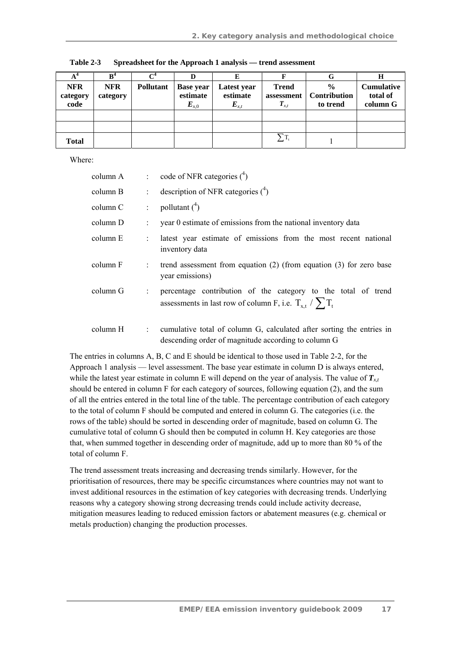|                                |                        |                  |                                           | E                                    |                                              |                                           | Н                                         |
|--------------------------------|------------------------|------------------|-------------------------------------------|--------------------------------------|----------------------------------------------|-------------------------------------------|-------------------------------------------|
| <b>NFR</b><br>category<br>code | <b>NFR</b><br>category | <b>Pollutant</b> | <b>Base year</b><br>estimate<br>$E_{x,0}$ | Latest year<br>estimate<br>$E_{x,t}$ | <b>Trend</b><br>assessment<br>$\bm{T}_{x,t}$ | $\frac{6}{6}$<br>Contribution<br>to trend | <b>Cumulative</b><br>total of<br>column G |
|                                |                        |                  |                                           |                                      |                                              |                                           |                                           |
|                                |                        |                  |                                           |                                      |                                              |                                           |                                           |
| Total                          |                        |                  |                                           |                                      | $\Sigma_{\mathrm{T_{t}}}$                    |                                           |                                           |

**Table 2-3 Spreadsheet for the Approach 1 analysis — trend assessment** 

Where:

| column A |                           | $\therefore$ code of NFR categories $(^4)$                                                                                                    |
|----------|---------------------------|-----------------------------------------------------------------------------------------------------------------------------------------------|
| column B | $\mathbb{R}^{\mathbb{Z}}$ | description of NFR categories $(^4)$                                                                                                          |
| column C | ÷.                        | pollutant $(^4)$                                                                                                                              |
| column D |                           | year 0 estimate of emissions from the national inventory data                                                                                 |
| column E |                           | latest year estimate of emissions from the most recent national<br>inventory data                                                             |
| column F | $\mathbb{R}^{\mathbb{Z}}$ | trend assessment from equation $(2)$ (from equation $(3)$ ) for zero base<br>year emissions)                                                  |
| column G | ÷                         | percentage contribution of the category to the total of trend<br>assessments in last row of column F, i.e. $T_{x,t}$ / $\sum_{i=1}^{t} T_{t}$ |
| column H | $\mathbb{R}^n$            | cumulative total of column G, calculated after sorting the entries in<br>descending order of magnitude according to column G                  |

The entries in columns A, B, C and E should be identical to those used in Table 2-2, for the Approach 1 analysis — level assessment. The base year estimate in column D is always entered, while the latest year estimate in column E will depend on the year of analysis. The value of  $T_{x}$ should be entered in column F for each category of sources, following equation (2), and the sum of all the entries entered in the total line of the table. The percentage contribution of each category to the total of column F should be computed and entered in column G. The categories (i.e. the rows of the table) should be sorted in descending order of magnitude, based on column G. The cumulative total of column G should then be computed in column H. Key categories are those that, when summed together in descending order of magnitude, add up to more than 80 % of the total of column F.

The trend assessment treats increasing and decreasing trends similarly. However, for the prioritisation of resources, there may be specific circumstances where countries may not want to invest additional resources in the estimation of key categories with decreasing trends. Underlying reasons why a category showing strong decreasing trends could include activity decrease, mitigation measures leading to reduced emission factors or abatement measures (e.g. chemical or metals production) changing the production processes.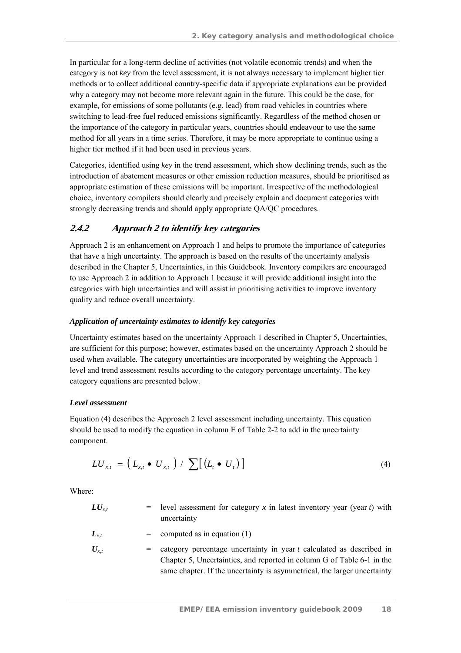In particular for a long-term decline of activities (not volatile economic trends) and when the category is not *key* from the level assessment, it is not always necessary to implement higher tier methods or to collect additional country-specific data if appropriate explanations can be provided why a category may not become more relevant again in the future. This could be the case, for example, for emissions of some pollutants (e.g. lead) from road vehicles in countries where switching to lead-free fuel reduced emissions significantly. Regardless of the method chosen or the importance of the category in particular years, countries should endeavour to use the same method for all years in a time series. Therefore, it may be more appropriate to continue using a higher tier method if it had been used in previous years.

Categories, identified using *key* in the trend assessment, which show declining trends, such as the introduction of abatement measures or other emission reduction measures, should be prioritised as appropriate estimation of these emissions will be important. Irrespective of the methodological choice, inventory compilers should clearly and precisely explain and document categories with strongly decreasing trends and should apply appropriate QA/QC procedures.

#### **2.4.2 Approach 2 to identify key categories**

Approach 2 is an enhancement on Approach 1 and helps to promote the importance of categories that have a high uncertainty*.* The approach is based on the results of the uncertainty analysis described in the Chapter 5, Uncertainties, in this Guidebook. Inventory compilers are encouraged to use Approach 2 in addition to Approach 1 because it will provide additional insight into the categories with high uncertainties and will assist in prioritising activities to improve inventory quality and reduce overall uncertainty.

#### *Application of uncertainty estimates to identify key categories*

Uncertainty estimates based on the uncertainty Approach 1 described in Chapter 5, Uncertainties, are sufficient for this purpose; however, estimates based on the uncertainty Approach 2 should be used when available. The category uncertainties are incorporated by weighting the Approach 1 level and trend assessment results according to the category percentage uncertainty. The key category equations are presented below.

#### *Level assessment*

Equation (4) describes the Approach 2 level assessment including uncertainty. This equation should be used to modify the equation in column E of Table 2-2 to add in the uncertainty component.

$$
LU_{x,t} = \left(L_{x,t} \bullet U_{x,t}\right) / \sum \left[\left(L_t \bullet U_t\right)\right] \tag{4}
$$

Where:

| $LU_{xt}$ | $=$ level assessment for category x in latest inventory year (year t) with<br>uncertainty                                                          |
|-----------|----------------------------------------------------------------------------------------------------------------------------------------------------|
| $L_{x,t}$ | $=$ computed as in equation (1)                                                                                                                    |
| $U_{x,t}$ | $=$ category percentage uncertainty in year t calculated as described in<br>Chapter 5, Uncertainties, and reported in column G of Table 6-1 in the |

same chapter. If the uncertainty is asymmetrical, the larger uncertainty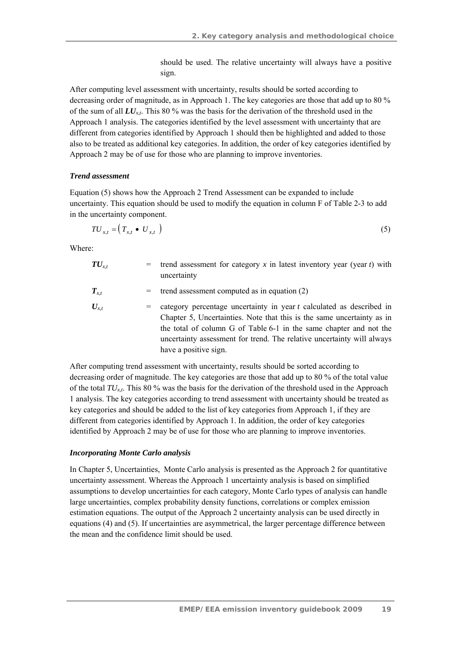should be used. The relative uncertainty will always have a positive sign.

After computing level assessment with uncertainty, results should be sorted according to decreasing order of magnitude, as in Approach 1. The key categories are those that add up to 80 % of the sum of all *LUx,t*. This 80 % was the basis for the derivation of the threshold used in the Approach 1 analysis. The categories identified by the level assessment with uncertainty that are different from categories identified by Approach 1 should then be highlighted and added to those also to be treated as additional key categories. In addition, the order of key categories identified by Approach 2 may be of use for those who are planning to improve inventories.

#### *Trend assessment*

Equation (5) shows how the Approach 2 Trend Assessment can be expanded to include uncertainty. This equation should be used to modify the equation in column F of Table 2-3 to add in the uncertainty component.

$$
TU_{x,t} = \left(T_{x,t} \bullet U_{x,t}\right) \tag{5}
$$

Where:

| $\boldsymbol{T}\boldsymbol{U}_{\!x.t}$ | $=$ | trend assessment for category x in latest inventory year (year $t$ ) with<br>uncertainty                                                                                                                                                                                                                                |
|----------------------------------------|-----|-------------------------------------------------------------------------------------------------------------------------------------------------------------------------------------------------------------------------------------------------------------------------------------------------------------------------|
| $\bm{T}_{x,t}$                         |     | $=$ trend assessment computed as in equation (2)                                                                                                                                                                                                                                                                        |
| $U_{x,t}$                              | $=$ | category percentage uncertainty in year t calculated as described in<br>Chapter 5, Uncertainties. Note that this is the same uncertainty as in<br>the total of column G of Table 6-1 in the same chapter and not the<br>uncertainty assessment for trend. The relative uncertainty will always<br>have a positive sign. |

After computing trend assessment with uncertainty, results should be sorted according to decreasing order of magnitude. The key categories are those that add up to 80 % of the total value of the total  $TU_{x,t}$ . This 80 % was the basis for the derivation of the threshold used in the Approach 1 analysis. The key categories according to trend assessment with uncertainty should be treated as key categories and should be added to the list of key categories from Approach 1, if they are different from categories identified by Approach 1. In addition, the order of key categories identified by Approach 2 may be of use for those who are planning to improve inventories.

#### *Incorporating Monte Carlo analysis*

In Chapter 5, Uncertainties, Monte Carlo analysis is presented as the Approach 2 for quantitative uncertainty assessment. Whereas the Approach 1 uncertainty analysis is based on simplified assumptions to develop uncertainties for each category, Monte Carlo types of analysis can handle large uncertainties, complex probability density functions, correlations or complex emission estimation equations. The output of the Approach 2 uncertainty analysis can be used directly in equations (4) and (5). If uncertainties are asymmetrical, the larger percentage difference between the mean and the confidence limit should be used.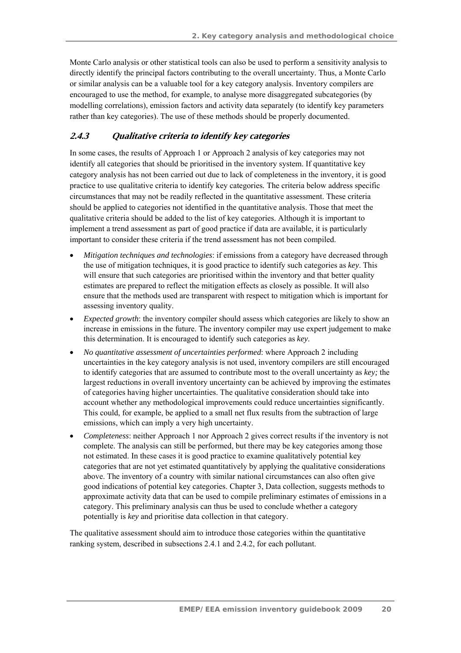Monte Carlo analysis or other statistical tools can also be used to perform a sensitivity analysis to directly identify the principal factors contributing to the overall uncertainty. Thus, a Monte Carlo or similar analysis can be a valuable tool for a key category analysis. Inventory compilers are encouraged to use the method, for example, to analyse more disaggregated subcategories (by modelling correlations), emission factors and activity data separately (to identify key parameters rather than key categories). The use of these methods should be properly documented.

### **2.4.3 Qualitative criteria to identify key categories**

In some cases, the results of Approach 1 or Approach 2 analysis of key categories may not identify all categories that should be prioritised in the inventory system. If quantitative key category analysis has not been carried out due to lack of completeness in the inventory, it is good practice to use qualitative criteria to identify key categories*.* The criteria below address specific circumstances that may not be readily reflected in the quantitative assessment. These criteria should be applied to categories not identified in the quantitative analysis. Those that meet the qualitative criteria should be added to the list of key categories. Although it is important to implement a trend assessment as part of good practice if data are available, it is particularly important to consider these criteria if the trend assessment has not been compiled.

- *Mitigation techniques and technologies*: if emissions from a category have decreased through the use of mitigation techniques, it is good practice to identify such categories as *key*. This will ensure that such categories are prioritised within the inventory and that better quality estimates are prepared to reflect the mitigation effects as closely as possible. It will also ensure that the methods used are transparent with respect to mitigation which is important for assessing inventory quality.
- *Expected growth*: the inventory compiler should assess which categories are likely to show an increase in emissions in the future. The inventory compiler may use expert judgement to make this determination. It is encouraged to identify such categories as *key*.
- *No quantitative assessment of uncertainties performed*: where Approach 2 including uncertainties in the key category analysis is not used, inventory compilers are still encouraged to identify categories that are assumed to contribute most to the overall uncertainty as *key;* the largest reductions in overall inventory uncertainty can be achieved by improving the estimates of categories having higher uncertainties. The qualitative consideration should take into account whether any methodological improvements could reduce uncertainties significantly. This could, for example, be applied to a small net flux results from the subtraction of large emissions, which can imply a very high uncertainty.
- *Completeness*: neither Approach 1 nor Approach 2 gives correct results if the inventory is not complete. The analysis can still be performed, but there may be key categories among those not estimated. In these cases it is good practice to examine qualitatively potential key categories that are not yet estimated quantitatively by applying the qualitative considerations above. The inventory of a country with similar national circumstances can also often give good indications of potential key categories. Chapter 3, Data collection, suggests methods to approximate activity data that can be used to compile preliminary estimates of emissions in a category. This preliminary analysis can thus be used to conclude whether a category potentially is *key* and prioritise data collection in that category.

The qualitative assessment should aim to introduce those categories within the quantitative ranking system, described in subsections 2.4.1 and 2.4.2, for each pollutant.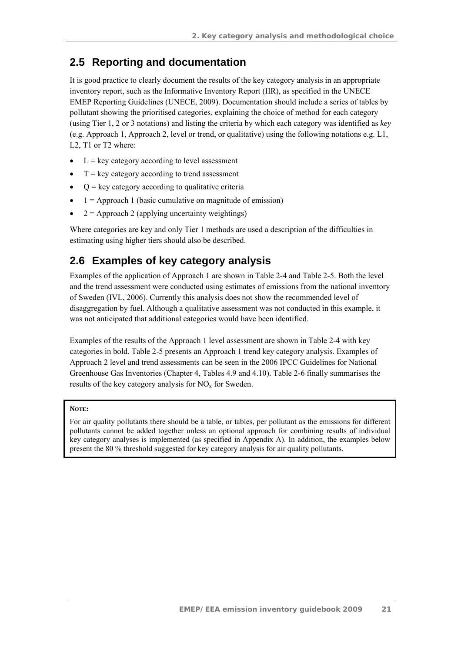### **2.5 Reporting and documentation**

It is good practice to clearly document the results of the key category analysis in an appropriate inventory report, such as the Informative Inventory Report (IIR), as specified in the UNECE EMEP Reporting Guidelines (UNECE, 2009). Documentation should include a series of tables by pollutant showing the prioritised categories, explaining the choice of method for each category (using Tier 1, 2 or 3 notations) and listing the criteria by which each category was identified as *key* (e.g. Approach 1, Approach 2, level or trend, or qualitative) using the following notations e.g. L1, L2, T1 or T2 where:

- $\bullet$  L = key category according to level assessment
- $T = \text{key category according to trend assessment}$
- $\bullet$   $Q = \text{key category according to qualitative criteria}$
- $1 =$  Approach 1 (basic cumulative on magnitude of emission)
- $2 =$  Approach 2 (applying uncertainty weightings)

Where categories are key and only Tier 1 methods are used a description of the difficulties in estimating using higher tiers should also be described.

## **2.6 Examples of key category analysis**

Examples of the application of Approach 1 are shown in Table 2-4 and Table 2-5. Both the level and the trend assessment were conducted using estimates of emissions from the national inventory of Sweden (IVL, 2006). Currently this analysis does not show the recommended level of disaggregation by fuel. Although a qualitative assessment was not conducted in this example, it was not anticipated that additional categories would have been identified.

Examples of the results of the Approach 1 level assessment are shown in Table 2-4 with key categories in bold. Table 2-5 presents an Approach 1 trend key category analysis. Examples of Approach 2 level and trend assessments can be seen in the 2006 IPCC Guidelines for National Greenhouse Gas Inventories (Chapter 4, Tables 4.9 and 4.10). Table 2-6 finally summarises the results of the key category analysis for  $NO<sub>x</sub>$  for Sweden.

#### **NOTE:**

For air quality pollutants there should be a table, or tables, per pollutant as the emissions for different pollutants cannot be added together unless an optional approach for combining results of individual key category analyses is implemented (as specified in Appendix A). In addition, the examples below present the 80 % threshold suggested for key category analysis for air quality pollutants.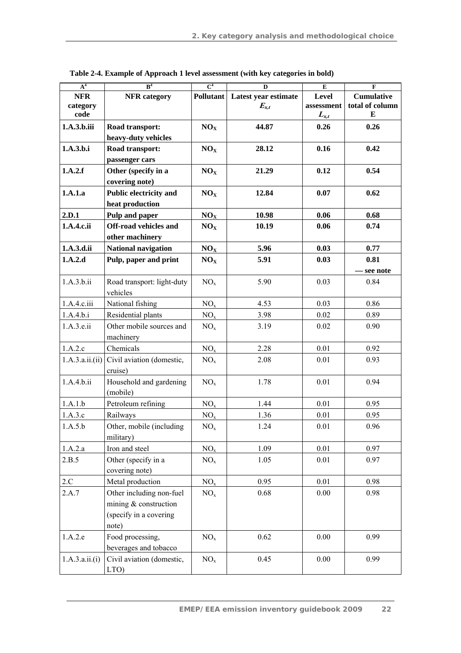| $A^4$                          | B <sup>4</sup>                            | $\overline{C}^4$<br>D |                                   | E                                | F                                         |  |
|--------------------------------|-------------------------------------------|-----------------------|-----------------------------------|----------------------------------|-------------------------------------------|--|
| <b>NFR</b><br>category<br>code | <b>NFR</b> category                       | Pollutant             | Latest year estimate<br>$E_{x,t}$ | Level<br>assessment<br>$L_{x,t}$ | <b>Cumulative</b><br>total of column<br>E |  |
|                                |                                           |                       |                                   |                                  |                                           |  |
| 1.A.3.b.iii                    | Road transport:<br>heavy-duty vehicles    | NO <sub>X</sub>       | 44.87                             | 0.26                             | 0.26                                      |  |
| 1.A.3.b.i                      | Road transport:                           | NO <sub>X</sub>       | 28.12                             | 0.16                             | 0.42                                      |  |
|                                | passenger cars                            |                       |                                   |                                  |                                           |  |
| 1.A.2.f                        | Other (specify in a                       | NO <sub>x</sub>       | 21.29                             | 0.12                             | 0.54                                      |  |
|                                | covering note)                            |                       |                                   |                                  |                                           |  |
| 1.A.1.a                        | Public electricity and                    | NO <sub>X</sub>       | 12.84                             | 0.07                             | 0.62                                      |  |
|                                | heat production                           |                       |                                   |                                  |                                           |  |
| 2.D.1                          | Pulp and paper                            | NO <sub>X</sub>       | 10.98                             | 0.06                             | 0.68                                      |  |
| 1.A.4.c.ii                     | Off-road vehicles and                     | NO <sub>X</sub>       | 10.19                             | 0.06                             | 0.74                                      |  |
|                                | other machinery                           |                       |                                   |                                  |                                           |  |
| 1.A.3.d.ii                     | <b>National navigation</b>                | NO <sub>x</sub>       | 5.96                              | 0.03                             | 0.77                                      |  |
| 1.A.2.d                        | Pulp, paper and print                     | NO <sub>X</sub>       | 5.91                              | 0.03                             | 0.81                                      |  |
|                                |                                           |                       |                                   |                                  | see note                                  |  |
| 1.A.3.b.ii                     | Road transport: light-duty<br>vehicles    | NO <sub>x</sub>       | 5.90                              | 0.03                             | 0.84                                      |  |
| 1.A.4.c.iii                    | National fishing                          | NO <sub>x</sub>       | 4.53                              | 0.03                             | 0.86                                      |  |
| 1.A.4.b.i                      | Residential plants                        | $NO_{x}$              | 3.98                              | 0.02                             | 0.89                                      |  |
| 1.A.3.e.ii                     | Other mobile sources and<br>machinery     | NO <sub>x</sub>       | 3.19                              | 0.02                             | 0.90                                      |  |
| 1.A.2.c                        | Chemicals                                 | NO <sub>x</sub>       | 2.28                              | 0.01                             | 0.92                                      |  |
| 1.A.3.a.ii. (ii)               | Civil aviation (domestic,<br>cruise)      | NO <sub>x</sub>       | 2.08                              | 0.01                             | 0.93                                      |  |
| 1.A.4.b.ii                     | Household and gardening<br>(mobile)       | NO <sub>x</sub>       | 1.78                              | 0.01                             | 0.94                                      |  |
| 1.A.1.b                        | Petroleum refining                        | NO <sub>x</sub>       | 1.44                              | 0.01                             | 0.95                                      |  |
| 1.A.3.c                        | Railways                                  | NO <sub>x</sub>       | 1.36                              | 0.01                             | 0.95                                      |  |
| 1.A.5.b                        | Other, mobile (including<br>military)     | NO <sub>x</sub>       | 1.24                              | 0.01                             | 0.96                                      |  |
| 1.A.2.a                        | Iron and steel                            | $NO_{x}$              | 1.09                              | 0.01                             | 0.97                                      |  |
| 2.B.5                          | Other (specify in a<br>covering note)     | NO <sub>x</sub>       | 1.05                              | 0.01                             | 0.97                                      |  |
| $2.C$                          | Metal production                          | NO <sub>x</sub>       | 0.95                              | 0.01                             | 0.98                                      |  |
| 2.A.7                          | Other including non-fuel                  | NO <sub>x</sub>       | 0.68                              | $0.00\,$                         | 0.98                                      |  |
|                                | mining & construction                     |                       |                                   |                                  |                                           |  |
|                                | (specify in a covering                    |                       |                                   |                                  |                                           |  |
|                                | note)                                     |                       |                                   |                                  |                                           |  |
| 1.A.2.e                        | Food processing,<br>beverages and tobacco | NO <sub>x</sub>       | 0.62                              | 0.00                             | 0.99                                      |  |
| 1.A.3.a.ii.(i)                 | Civil aviation (domestic,<br>LTO)         | NO <sub>x</sub>       | 0.45                              | $0.00\,$                         | 0.99                                      |  |

**Table 2-4. Example of Approach 1 level assessment (with key categories in bold)**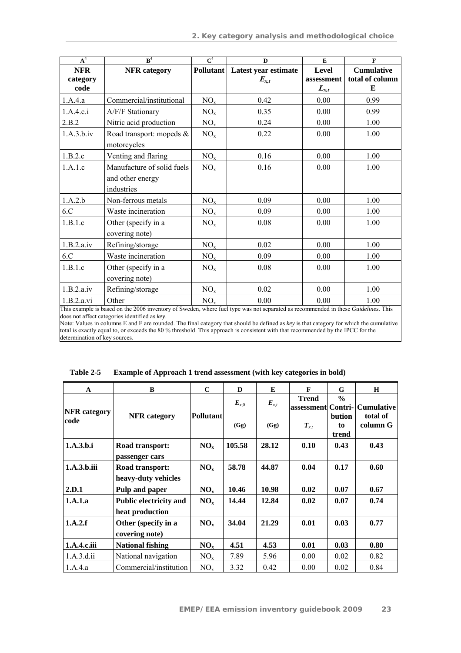| A <sup>4</sup> | R <sup>4</sup>             | $\overline{C^4}$ | $\mathbf{D}$         | E          | $\mathbf F$       |
|----------------|----------------------------|------------------|----------------------|------------|-------------------|
| <b>NFR</b>     | <b>NFR</b> category        | Pollutant        | Latest year estimate | Level      | <b>Cumulative</b> |
| category       |                            |                  | $E_{x,t}$            | assessment | total of column   |
| code           |                            |                  |                      | $L_{x,t}$  | E                 |
| 1.A.4.a        | Commercial/institutional   | NO <sub>x</sub>  | 0.42                 | 0.00       | 0.99              |
| 1.A.4.c.i      | A/F/F Stationary           | NO <sub>x</sub>  | 0.35                 | 0.00       | 0.99              |
| 2.B.2          | Nitric acid production     | NO <sub>x</sub>  | 0.24                 | 0.00       | 1.00              |
| 1.A.3.b.iv     | Road transport: mopeds &   | NO <sub>x</sub>  | 0.22                 | 0.00       | 1.00              |
|                | motorcycles                |                  |                      |            |                   |
| 1.B.2.c        | Venting and flaring        | NO <sub>x</sub>  | 0.16                 | 0.00       | 1.00              |
| 1.A.1.c        | Manufacture of solid fuels | NO <sub>x</sub>  | 0.16                 | 0.00       | 1.00              |
|                | and other energy           |                  |                      |            |                   |
|                | industries                 |                  |                      |            |                   |
| 1.A.2.b        | Non-ferrous metals         | NO <sub>x</sub>  | 0.09                 | 0.00       | 1.00              |
| 6.C            | Waste incineration         | NO <sub>x</sub>  | 0.09                 | 0.00       | 1.00              |
| 1.B.1.c        | Other (specify in a        | $NO_{x}$         | 0.08                 | 0.00       | 1.00              |
|                | covering note)             |                  |                      |            |                   |
| 1.B.2.a.iv     | Refining/storage           | NO <sub>x</sub>  | 0.02                 | 0.00       | 1.00              |
| 6.C            | Waste incineration         | NO <sub>x</sub>  | 0.09                 | 0.00       | 1.00              |
| 1.B.1.c        | Other (specify in a        | NO <sub>x</sub>  | 0.08                 | 0.00       | 1.00              |
|                | covering note)             |                  |                      |            |                   |
| 1.B.2.a.iv     | Refining/storage           | NO <sub>x</sub>  | 0.02                 | 0.00       | 1.00              |
| 1.B.2.a.vi     | Other                      | $\rm NO_x$       | 0.00                 | 0.00       | 1.00              |

This example is based on the 2006 inventory of Sweden, where fuel type was not separated as recommended in these *Guidelines*. This does not affect categories identified as *key*.

Note: Values in columns E and F are rounded. The final category that should be defined as *key* is that category for which the cumulative total is exactly equal to, or exceeds the 80 % threshold. This approach is consistent with that recommended by the IPCC for the determination of key sources.

| $\mathbf{A}$        | $\bf{B}$                                         | $\mathbf C$     | $\mathbf D$ | E         | $\mathbf{F}$                       | G                            | H                    |
|---------------------|--------------------------------------------------|-----------------|-------------|-----------|------------------------------------|------------------------------|----------------------|
| <b>NFR</b> category |                                                  |                 | $E_{x,0}$   | $E_{x,t}$ | <b>Trend</b><br>assessment Contri- | $\frac{0}{0}$                | <b>Cumulative</b>    |
| code                | <b>NFR</b> category                              | Pollutant       | (Gg)        | (Gg)      | $T_{x,t}$                          | <b>bution</b><br>to<br>trend | total of<br>column G |
| 1.A.3.h.i           | Road transport:<br>passenger cars                | NO <sub>x</sub> | 105.58      | 28.12     | 0.10                               | 0.43                         | 0.43                 |
| 1.A.3.h.iii         | Road transport:<br>heavy-duty vehicles           | NO <sub>x</sub> | 58.78       | 44.87     | 0.04                               | 0.17                         | 0.60                 |
| 2.D.1               | Pulp and paper                                   | NO <sub>x</sub> | 10.46       | 10.98     | 0.02                               | 0.07                         | 0.67                 |
| 1.A.1.a             | <b>Public electricity and</b><br>heat production | $NO_{x}$        | 14.44       | 12.84     | 0.02                               | 0.07                         | 0.74                 |
| 1.A.2.f             | Other (specify in a<br>covering note)            | $NO_{x}$        | 34.04       | 21.29     | 0.01                               | 0.03                         | 0.77                 |
| 1.A.4.c.iii         | <b>National fishing</b>                          | NO <sub>x</sub> | 4.51        | 4.53      | 0.01                               | 0.03                         | 0.80                 |
| 1.A.3.d.ii          | National navigation                              | NO <sub>x</sub> | 7.89        | 5.96      | 0.00                               | 0.02                         | 0.82                 |
| 1.A.4.a             | Commercial/institution                           | $NO_{x}$        | 3.32        | 0.42      | 0.00                               | 0.02                         | 0.84                 |

**Table 2-5 Example of Approach 1 trend assessment (with key categories in bold)**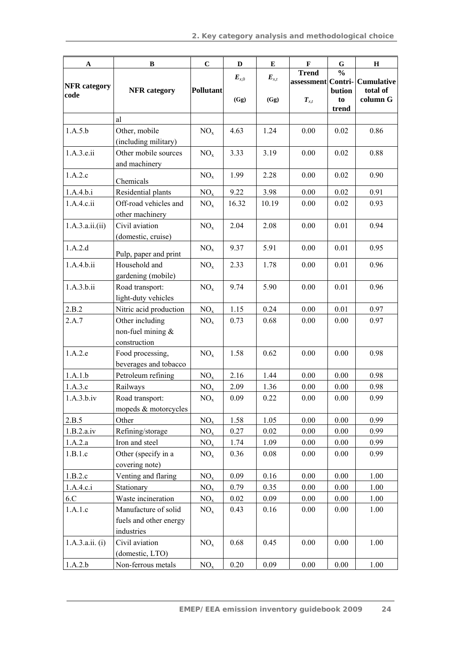| $\mathbf A$         | $\bf{B}$                              | $\mathbf C$      | $\mathbf D$            | $\bf E$   | $\mathbf F$                        | ${\bf G}$             | $\mathbf H$          |
|---------------------|---------------------------------------|------------------|------------------------|-----------|------------------------------------|-----------------------|----------------------|
| <b>NFR</b> category |                                       |                  | $\boldsymbol{E}_{x,0}$ | $E_{x,t}$ | <b>Trend</b><br>assessment Contri- | $\frac{0}{0}$         | <b>Cumulative</b>    |
| code                | <b>NFR</b> category                   | <b>Pollutant</b> | (Gg)                   | (Gg)      | $T_{x,t}$                          | bution<br>to<br>trend | total of<br>column G |
|                     | al                                    |                  |                        |           |                                    |                       |                      |
| 1.A.5.b             | Other, mobile                         | NO <sub>x</sub>  | 4.63                   | 1.24      | 0.00                               | 0.02                  | 0.86                 |
|                     | (including military)                  |                  |                        |           |                                    |                       |                      |
| 1.A.3.e.ii          | Other mobile sources<br>and machinery | NO <sub>x</sub>  | 3.33                   | 3.19      | 0.00                               | 0.02                  | 0.88                 |
| 1.A.2.c             | Chemicals                             | NO <sub>x</sub>  | 1.99                   | 2.28      | 0.00                               | 0.02                  | 0.90                 |
| 1.A.4.b.i           | Residential plants                    | NO <sub>x</sub>  | 9.22                   | 3.98      | 0.00                               | 0.02                  | 0.91                 |
| 1.A.4.c.ii          | Off-road vehicles and                 | NO <sub>x</sub>  | 16.32                  | 10.19     | 0.00                               | 0.02                  | 0.93                 |
|                     | other machinery                       |                  |                        |           |                                    |                       |                      |
| 1.A.3.a.ii. (ii)    | Civil aviation                        | NO <sub>x</sub>  | 2.04                   | 2.08      | 0.00                               | 0.01                  | 0.94                 |
|                     | (domestic, cruise)                    |                  |                        |           |                                    |                       |                      |
| 1.A.2.d             | Pulp, paper and print                 | NO <sub>x</sub>  | 9.37                   | 5.91      | 0.00                               | 0.01                  | 0.95                 |
| 1.A.4.b.ii          | Household and<br>NO <sub>x</sub>      |                  | 2.33                   | 1.78      | 0.00                               | 0.01                  | 0.96                 |
|                     | gardening (mobile)                    |                  |                        |           |                                    |                       |                      |
| 1.A.3.b.ii          | Road transport:                       | NO <sub>x</sub>  | 9.74                   | 5.90      | 0.00                               | 0.01                  | 0.96                 |
|                     | light-duty vehicles                   |                  |                        |           |                                    |                       |                      |
| 2.B.2               | Nitric acid production                | NO <sub>x</sub>  | 1.15                   | 0.24      | 0.00                               | 0.01                  | 0.97                 |
| 2.A.7               | Other including                       | NO <sub>x</sub>  | 0.73                   | 0.68      | 0.00                               | 0.00                  | 0.97                 |
|                     | non-fuel mining $&$                   |                  |                        |           |                                    |                       |                      |
|                     | construction                          |                  |                        |           |                                    |                       |                      |
| 1.A.2.e             | Food processing,                      | NO <sub>x</sub>  | 1.58                   | 0.62      | 0.00                               | 0.00                  | 0.98                 |
|                     | beverages and tobacco                 |                  |                        |           |                                    |                       |                      |
| 1.A.1.b             | Petroleum refining                    | NO <sub>x</sub>  | 2.16                   | 1.44      | 0.00                               | 0.00                  | 0.98                 |
| 1.A.3.c             | Railways                              | NO <sub>x</sub>  | 2.09                   | 1.36      | 0.00                               | $0.00\,$              | 0.98                 |
| 1.A.3.b.iv          | Road transport:                       | NO <sub>x</sub>  | 0.09                   | 0.22      | 0.00                               | 0.00                  | 0.99                 |
|                     | mopeds & motorcycles                  |                  |                        |           |                                    |                       |                      |
| 2.B.5               | Other                                 | NO <sub>x</sub>  | 1.58                   | 1.05      | 0.00                               | 0.00                  | 0.99                 |
| 1.B.2.a.iv          | Refining/storage                      | NO <sub>x</sub>  | 0.27                   | 0.02      | 0.00                               | 0.00                  | 0.99                 |
| 1.A.2.a             | Iron and steel                        | NO <sub>x</sub>  | 1.74                   | 1.09      | 0.00                               | 0.00                  | 0.99                 |
| 1.B.1.c             | Other (specify in a                   | NO <sub>x</sub>  | 0.36                   | 0.08      | 0.00                               | 0.00                  | 0.99                 |
|                     | covering note)                        |                  |                        |           |                                    |                       |                      |
| 1.B.2.c             | Venting and flaring                   | NO <sub>x</sub>  | 0.09                   | 0.16      | 0.00                               | 0.00                  | 1.00                 |
| 1.A.4.c.i           | Stationary                            | NO <sub>x</sub>  | 0.79                   | 0.35      | 0.00                               | 0.00                  | 1.00                 |
| 6.C                 | Waste incineration                    | NO <sub>x</sub>  | 0.02                   | 0.09      | 0.00                               | 0.00                  | 1.00                 |
| 1.A.1.c             | Manufacture of solid                  | NO <sub>x</sub>  | 0.43                   | 0.16      | 0.00                               | 0.00                  | 1.00                 |
|                     | fuels and other energy                |                  |                        |           |                                    |                       |                      |
|                     | industries                            |                  |                        |           |                                    |                       |                      |
| 1.A.3.a.ii. (i)     | Civil aviation                        | NO <sub>x</sub>  | 0.68                   | 0.45      | $0.00\,$                           | $0.00\,$              | 1.00                 |
|                     | (domestic, LTO)                       |                  |                        |           |                                    |                       |                      |
| 1.A.2.b             | Non-ferrous metals                    | NO <sub>x</sub>  | 0.20                   | 0.09      | $0.00\,$                           | 0.00                  | 1.00                 |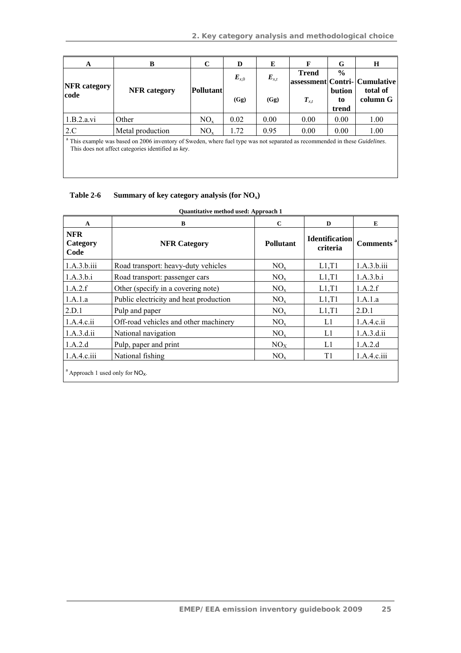| A                           | B                                                                                                                                                                                       | $\mathbf C$ | D         | E                 | F            | G                     | $\bf H$                       |
|-----------------------------|-----------------------------------------------------------------------------------------------------------------------------------------------------------------------------------------|-------------|-----------|-------------------|--------------|-----------------------|-------------------------------|
|                             |                                                                                                                                                                                         |             | $E_{x,0}$ | $E_{x,t}$<br>(Gg) | <b>Trend</b> | $\frac{0}{0}$         | assessment Contri- Cumulative |
| <b>NFR</b> category<br>code | <b>NFR</b> category                                                                                                                                                                     | Pollutant   | (Gg)      |                   | $T_{x,t}$    | bution<br>to<br>trend | total of<br>column G          |
| 1.B.2.a.vi                  | Other                                                                                                                                                                                   | $NO_{x}$    | 0.02      | 0.00              | 0.00         | 0.00                  | 1.00                          |
| 2.C                         | Metal production                                                                                                                                                                        | $NO_{x}$    | 1.72      | 0.95              | 0.00         | 0.00                  | 1.00                          |
|                             | This example was based on 2006 inventory of Sweden, where fuel type was not separated as recommended in these <i>Guidelines</i> .<br>This does not affect categories identified as key. |             |           |                   |              |                       |                               |

### Table 2-6 Summary of key category analysis (for NO<sub>x</sub>)

| $\mathbf{A}$                                   | B                                      | $\mathbf C$     | D                                 | E                     |
|------------------------------------------------|----------------------------------------|-----------------|-----------------------------------|-----------------------|
| <b>NFR</b><br>Category<br>Code                 | <b>NFR Category</b>                    | Pollutant       | <b>Identification</b><br>criteria | Comments <sup>a</sup> |
| 1.A.3.b.iii                                    | Road transport: heavy-duty vehicles    | $NO_{x}$        | L1, T1                            | 1.A.3.b.iii           |
| 1.A.3.b.i                                      | Road transport: passenger cars         | NO <sub>x</sub> | L1, T1                            | 1.A.3.b.i             |
| 1.A.2.f                                        | Other (specify in a covering note)     | NO <sub>x</sub> | L1, T1                            | 1.A.2.f               |
| 1.A.1.a                                        | Public electricity and heat production | $NO_{x}$        | L1, T1                            | 1.A.1.a               |
| 2.D.1                                          | Pulp and paper                         | NO <sub>x</sub> | L1, T1                            | 2.D.1                 |
| 1.A.4.c.ii                                     | Off-road vehicles and other machinery  | NO <sub>x</sub> | L1                                | 1.A.4.c.ii            |
| 1.A.3.d.ii                                     | National navigation                    | $NO_{x}$        | L1                                | 1.A.3.d.ii            |
| 1.A.2.d                                        | Pulp, paper and print                  | NO <sub>X</sub> | L1                                | 1.A.2.d               |
| 1.A.4.c.iii                                    | National fishing                       | $NO_{x}$        | T1                                | 1.A.4.c.iii           |
| <sup>a</sup> Approach 1 used only for $NO_x$ . |                                        |                 |                                   |                       |

### **Quantitative method used: Approach 1**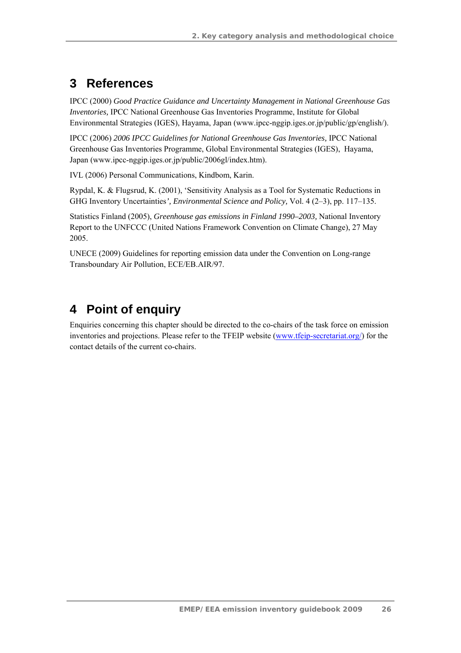# **3 References**

IPCC (2000) *Good Practice Guidance and Uncertainty Management in National Greenhouse Gas Inventories,* IPCC National Greenhouse Gas Inventories Programme, Institute for Global Environmental Strategies (IGES), Hayama, Japan (www.ipcc-nggip.iges.or.jp/public/gp/english/).

IPCC (2006) *2006 IPCC Guidelines for National Greenhouse Gas Inventories,* IPCC National Greenhouse Gas Inventories Programme, Global Environmental Strategies (IGES), Hayama, Japan (www.ipcc-nggip.iges.or.jp/public/2006gl/index.htm).

IVL (2006) Personal Communications, Kindbom, Karin.

Rypdal, K. & Flugsrud, K. (2001), 'Sensitivity Analysis as a Tool for Systematic Reductions in GHG Inventory Uncertainties*', Environmental Science and Policy,* Vol. 4 (2–3), pp. 117–135.

Statistics Finland (2005), *Greenhouse gas emissions in Finland 1990–2003,* National Inventory Report to the UNFCCC (United Nations Framework Convention on Climate Change), 27 May 2005.

UNECE (2009) Guidelines for reporting emission data under the Convention on Long-range Transboundary Air Pollution, ECE/EB.AIR/97.

# **4 Point of enquiry**

Enquiries concerning this chapter should be directed to the co-chairs of the task force on emission inventories and projections. Please refer to the TFEIP website (www.tfeip-secretariat.org/) for the contact details of the current co-chairs.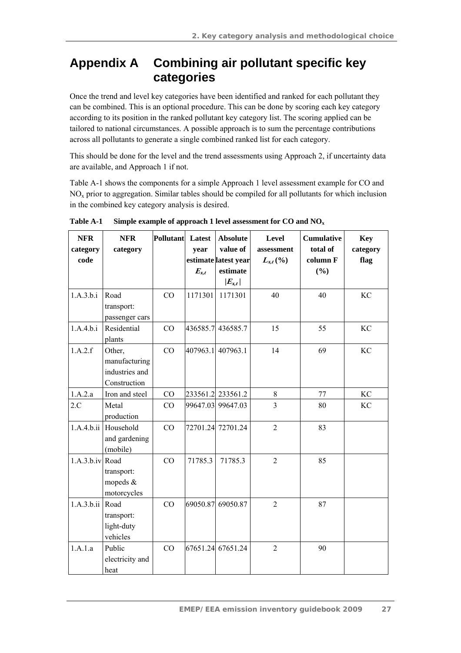# **Appendix A Combining air pollutant specific key categories**

Once the trend and level key categories have been identified and ranked for each pollutant they can be combined. This is an optional procedure. This can be done by scoring each key category according to its position in the ranked pollutant key category list. The scoring applied can be tailored to national circumstances. A possible approach is to sum the percentage contributions across all pollutants to generate a single combined ranked list for each category.

This should be done for the level and the trend assessments using Approach 2, if uncertainty data are available, and Approach 1 if not.

Table A-1 shows the components for a simple Approach 1 level assessment example for CO and  $NO<sub>x</sub>$  prior to aggregation. Similar tables should be compiled for all pollutants for which inclusion in the combined key category analysis is desired.

| <b>NFR</b><br>category<br>code | <b>NFR</b><br>category                                    | Pollutant | Latest<br>year<br>$E_{x,t}$ | <b>Absolute</b><br>value of<br>estimate latest year<br>estimate<br>$ E_{x,t} $ | Level<br>assessment<br>$L_{x,t}(\%)$ | <b>Cumulative</b><br>total of<br>column F<br>(%) | <b>Key</b><br>category<br>flag |
|--------------------------------|-----------------------------------------------------------|-----------|-----------------------------|--------------------------------------------------------------------------------|--------------------------------------|--------------------------------------------------|--------------------------------|
| 1.A.3.b.i                      | Road<br>transport:<br>passenger cars                      | CO        | 1171301                     | 1171301                                                                        | 40                                   | 40                                               | <b>KC</b>                      |
| 1.A.4.b.i                      | Residential<br>plants                                     | CO        | 436585.7                    | 436585.7                                                                       | 15                                   | 55                                               | KC                             |
| 1.A.2.f                        | Other,<br>manufacturing<br>industries and<br>Construction | CO        | 407963.1                    | 407963.1                                                                       | 14                                   | 69                                               | KC                             |
| 1.A.2.a                        | Iron and steel                                            | CO        |                             | 233561.2 233561.2                                                              | 8                                    | 77                                               | KC                             |
| 2.C                            | Metal<br>production                                       | CO        |                             | 99647.03 99647.03                                                              | 3                                    | 80                                               | KC                             |
|                                | 1.A.4.b.ii Household<br>and gardening<br>(mobile)         | CO        |                             | 72701.24 72701.24                                                              | $\overline{2}$                       | 83                                               |                                |
| 1.A.3.b.iv Road                | transport:<br>mopeds &<br>motorcycles                     | CO        | 71785.3                     | 71785.3                                                                        | $\overline{2}$                       | 85                                               |                                |
| 1.A.3.b.ii                     | Road<br>transport:<br>light-duty<br>vehicles              | CO        | 69050.87                    | 69050.87                                                                       | $\overline{2}$                       | 87                                               |                                |
| 1.A.1.a                        | Public<br>electricity and<br>heat                         | CO        |                             | 67651.24 67651.24                                                              | $\overline{2}$                       | 90                                               |                                |

**Table A-1 Simple example of approach 1 level assessment for CO and NOx**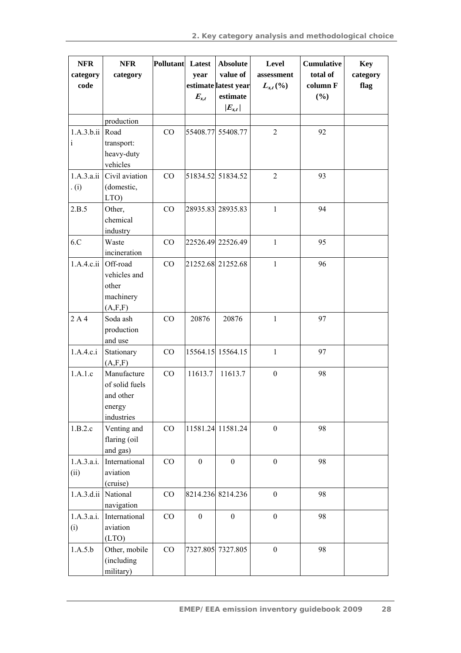| <b>NFR</b><br>category | <b>NFR</b><br>category                                             | Pollutant Latest | year             | <b>Absolute</b><br>value of | Level<br>assessment | <b>Cumulative</b><br>total of | <b>Key</b><br>category |
|------------------------|--------------------------------------------------------------------|------------------|------------------|-----------------------------|---------------------|-------------------------------|------------------------|
| code                   |                                                                    |                  |                  | estimate latest year        | $L_{x,t}(\%)$       | column F                      | flag                   |
|                        |                                                                    |                  | $E_{x,t}$        | estimate<br>$ E_{x,t} $     |                     | (%)                           |                        |
|                        | production                                                         |                  |                  |                             |                     |                               |                        |
| 1.A.3.b.ii             | Road                                                               | CO               | 55408.77         | 55408.77                    | $\overline{2}$      | 92                            |                        |
| $\mathbf{i}$           | transport:<br>heavy-duty<br>vehicles                               |                  |                  |                             |                     |                               |                        |
| 1.A.3.a.ii<br>(i)      | Civil aviation<br>(domestic,<br>LTO)                               | CO               |                  | 51834.52 51834.52           | $\overline{2}$      | 93                            |                        |
| 2.B.5                  | Other,<br>chemical<br>industry                                     | CO               |                  | 28935.83 28935.83           | $\mathbf{1}$        | 94                            |                        |
| 6.C                    | Waste<br>incineration                                              | CO               |                  | 22526.49 22526.49           | $\mathbf{1}$        | 95                            |                        |
| 1.A.4.c.ii             | Off-road<br>vehicles and<br>other<br>machinery<br>(A, F, F)        | CO               |                  | 21252.68 21252.68           | $\mathbf{1}$        | 96                            |                        |
| 2A4                    | Soda ash<br>production<br>and use                                  | CO               | 20876            | 20876                       | $\mathbf{1}$        | 97                            |                        |
| 1.A.4.c.i              | Stationary<br>(A, F, F)                                            | CO               |                  | 15564.15 15564.15           | $\mathbf{1}$        | 97                            |                        |
| 1.A.1.c                | Manufacture<br>of solid fuels<br>and other<br>energy<br>industries | CO               | 11613.7          | 11613.7                     | $\boldsymbol{0}$    | 98                            |                        |
| 1.B.2.c                | Venting and<br>flaring (oil<br>and gas)                            | CO               |                  | 11581.24 11581.24           | $\boldsymbol{0}$    | 98                            |                        |
| 1.A.3.a.i.<br>(ii)     | International<br>aviation<br>(cruise)                              | CO               | $\boldsymbol{0}$ | $\boldsymbol{0}$            | $\boldsymbol{0}$    | 98                            |                        |
| 1.A.3.d.ii             | National<br>navigation                                             | CO               |                  | 8214.236 8214.236           | $\boldsymbol{0}$    | 98                            |                        |
| 1.A.3.a.i.<br>(i)      | International<br>aviation<br>(LTO)                                 | CO               | $\boldsymbol{0}$ | $\boldsymbol{0}$            | $\boldsymbol{0}$    | 98                            |                        |
| 1.A.5.b                | Other, mobile<br>(including<br>military)                           | CO               |                  | 7327.805 7327.805           | $\boldsymbol{0}$    | 98                            |                        |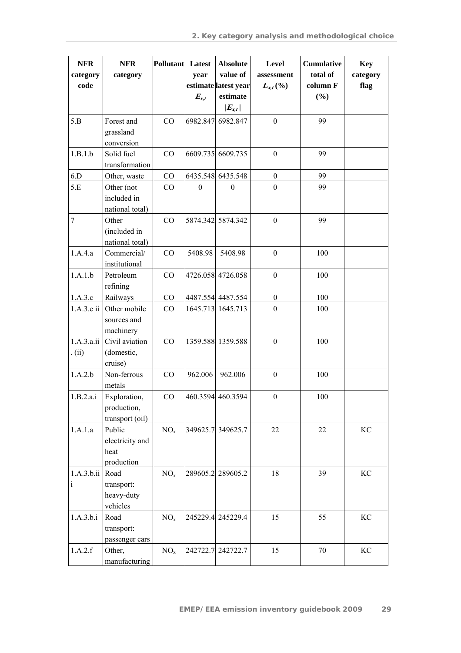| <b>NFR</b>     | <b>NFR</b>                     | Pollutant       | Latest    | <b>Absolute</b>           | Level            | <b>Cumulative</b> | <b>Key</b> |
|----------------|--------------------------------|-----------------|-----------|---------------------------|------------------|-------------------|------------|
| category       | category                       |                 | year      | value of                  | assessment       | total of          | category   |
| code           |                                |                 |           | estimate latest year      | $L_{x,t}(\%)$    | column F          | flag       |
|                |                                |                 | $E_{x,t}$ | $estimate$<br>$ E_{x,t} $ |                  | (%)               |            |
|                |                                |                 |           |                           |                  |                   |            |
| 5.B            | Forest and                     | CO              | 6982.847  | 6982.847                  | $\boldsymbol{0}$ | 99                |            |
|                | grassland                      |                 |           |                           |                  |                   |            |
|                | conversion                     |                 |           |                           |                  |                   |            |
| 1.B.1.b        | Solid fuel<br>transformation   | CO              |           | 6609.735 6609.735         | $\boldsymbol{0}$ | 99                |            |
|                |                                |                 |           |                           |                  | 99                |            |
| 6.D            | Other, waste                   | CO              |           | 6435.548 6435.548         | $\boldsymbol{0}$ |                   |            |
| 5.E            | Other (not                     | CO              | $\theta$  | $\theta$                  | $\boldsymbol{0}$ | 99                |            |
|                | included in<br>national total) |                 |           |                           |                  |                   |            |
| $\overline{7}$ | Other                          | CO              |           | 5874.342 5874.342         | $\boldsymbol{0}$ | 99                |            |
|                | (included in                   |                 |           |                           |                  |                   |            |
|                | national total)                |                 |           |                           |                  |                   |            |
| 1.A.4.a        | Commercial/                    | CO              | 5408.98   | 5408.98                   | $\boldsymbol{0}$ | 100               |            |
|                | institutional                  |                 |           |                           |                  |                   |            |
| 1.A.1.b        | Petroleum                      | CO              |           | 4726.058 4726.058         | $\boldsymbol{0}$ | 100               |            |
|                | refining                       |                 |           |                           |                  |                   |            |
| 1.A.3.c        | Railways                       | CO              |           | 4487.554 4487.554         | $\boldsymbol{0}$ | 100               |            |
| 1.A.3.e ii     | Other mobile                   | CO              |           | 1645.713 1645.713         | $\boldsymbol{0}$ | 100               |            |
|                | sources and                    |                 |           |                           |                  |                   |            |
|                | machinery                      |                 |           |                           |                  |                   |            |
| 1.A.3.a.ii     | Civil aviation                 | CO              |           | 1359.588 1359.588         | $\boldsymbol{0}$ | 100               |            |
| . (ii)         | (domestic,                     |                 |           |                           |                  |                   |            |
|                | cruise)                        |                 |           |                           |                  |                   |            |
| 1.A.2.b        | Non-ferrous                    | CO              | 962.006   | 962.006                   | $\boldsymbol{0}$ | 100               |            |
|                | metals                         |                 |           |                           |                  |                   |            |
| 1.B.2.a.i      | Exploration,                   | CO              |           | 460.3594 460.3594         | $\boldsymbol{0}$ | 100               |            |
|                | production,                    |                 |           |                           |                  |                   |            |
|                | transport (oil)                |                 |           |                           |                  |                   |            |
| 1.A.1.a        | Public                         | NO <sub>x</sub> |           | 349625.7 349625.7         | 22               | 22                | KC         |
|                | electricity and                |                 |           |                           |                  |                   |            |
|                | heat                           |                 |           |                           |                  |                   |            |
|                | production                     |                 |           |                           |                  |                   |            |
| 1.A.3.b.ii     | Road                           | NO <sub>x</sub> |           | 289605.2 289605.2         | 18               | 39                | KC         |
| i              | transport:                     |                 |           |                           |                  |                   |            |
|                | heavy-duty                     |                 |           |                           |                  |                   |            |
|                | vehicles                       |                 |           |                           |                  |                   |            |
| 1.A.3.b.i      | Road                           | NO <sub>x</sub> |           | 245229.4 245229.4         | 15               | 55                | KC         |
|                | transport:                     |                 |           |                           |                  |                   |            |
|                | passenger cars                 |                 |           |                           |                  |                   |            |
| 1.A.2.f        | Other,                         | NO <sub>x</sub> |           | 242722.7 242722.7         | 15               | 70                | KC         |
|                | manufacturing                  |                 |           |                           |                  |                   |            |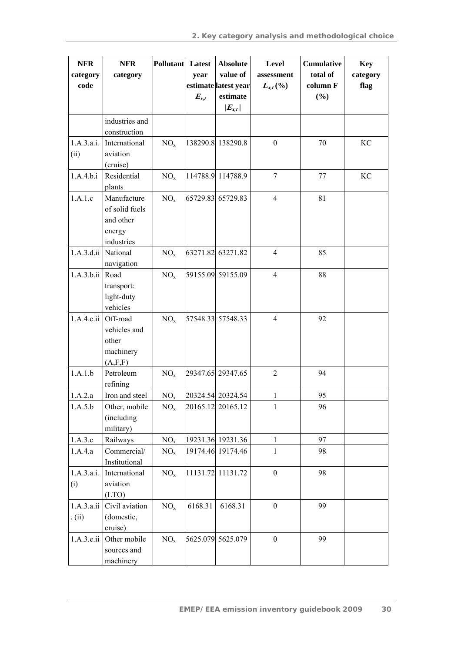| <b>NFR</b><br>category<br>code | <b>NFR</b><br>category                                             | Pollutant Latest | year<br>$E_{x,t}$ | <b>Absolute</b><br>value of<br>estimate latest year<br>$estimate$ | Level<br>assessment<br>$L_{x,t}(\%)$ | <b>Cumulative</b><br>total of<br>column F<br>(%) | <b>Key</b><br>category<br>flag |
|--------------------------------|--------------------------------------------------------------------|------------------|-------------------|-------------------------------------------------------------------|--------------------------------------|--------------------------------------------------|--------------------------------|
|                                | industries and<br>construction                                     |                  |                   | $ E_{x,t} $                                                       |                                      |                                                  |                                |
| 1.A.3.a.i.<br>(ii)             | International<br>aviation<br>(cruise)                              | NO <sub>x</sub>  |                   | 138290.8 138290.8                                                 | $\mathbf{0}$                         | 70                                               | KC                             |
| 1.A.4.b.i                      | Residential<br>plants                                              | NO <sub>x</sub>  |                   | 114788.9 114788.9                                                 | $\overline{7}$                       | 77                                               | KC                             |
| 1.A.1.c                        | Manufacture<br>of solid fuels<br>and other<br>energy<br>industries | NO <sub>x</sub>  |                   | 65729.83 65729.83                                                 | $\overline{4}$                       | 81                                               |                                |
| 1.A.3.d.ii National            | navigation                                                         | NO <sub>x</sub>  |                   | 63271.82 63271.82                                                 | $\overline{4}$                       | 85                                               |                                |
| 1.A.3.b.ii Road                | transport:<br>light-duty<br>vehicles                               | NO <sub>x</sub>  |                   | 59155.09 59155.09                                                 | $\overline{4}$                       | 88                                               |                                |
| $1.A.4.c.ii$ Off-road          | vehicles and<br>other<br>machinery<br>(A, F, F)                    | NO <sub>x</sub>  |                   | 57548.33 57548.33                                                 | $\overline{4}$                       | 92                                               |                                |
| 1.A.1.b                        | Petroleum<br>refining                                              | NO <sub>x</sub>  |                   | 29347.65 29347.65                                                 | $\overline{2}$                       | 94                                               |                                |
| 1.A.2.a                        | Iron and steel                                                     | NO <sub>x</sub>  |                   | 20324.54 20324.54                                                 | $\mathbf{1}$                         | 95                                               |                                |
| 1.A.5.b                        | Other, mobile<br>(including<br>military)                           | NO <sub>x</sub>  |                   | 20165.12 20165.12                                                 | 1                                    | 96                                               |                                |
| 1.A.3.c                        | Railways                                                           | NO <sub>x</sub>  |                   | 19231.36 19231.36                                                 | 1                                    | 97                                               |                                |
| 1.A.4.a                        | Commercial/<br>Institutional                                       | NO <sub>x</sub>  |                   | 19174.46 19174.46                                                 | 1                                    | 98                                               |                                |
| 1.A.3.a.i.<br>(i)              | International<br>aviation<br>(LTO)                                 | NO <sub>x</sub>  |                   | 11131.72 11131.72                                                 | $\boldsymbol{0}$                     | 98                                               |                                |
| 1.A.3.a.ii<br>. (ii)           | Civil aviation<br>(domestic,<br>cruise)                            | NO <sub>x</sub>  | 6168.31           | 6168.31                                                           | $\mathbf{0}$                         | 99                                               |                                |
| 1.A.3.e.ii                     | Other mobile<br>sources and<br>machinery                           | NO <sub>x</sub>  |                   | 5625.079 5625.079                                                 | $\boldsymbol{0}$                     | 99                                               |                                |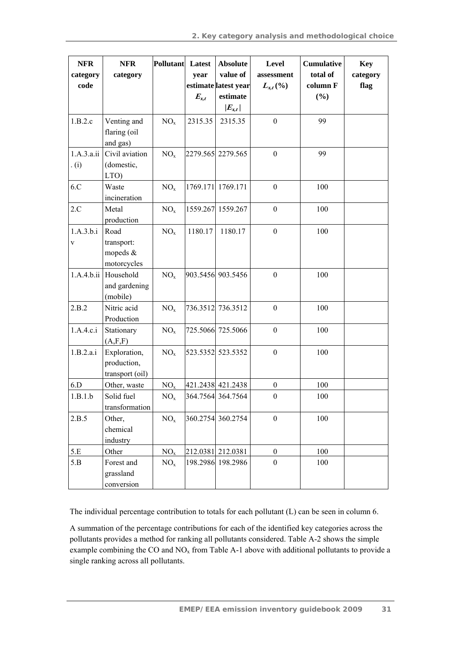| <b>NFR</b><br>category<br>code | <b>NFR</b><br>category                          | <b>Pollutant</b> | Latest<br>year<br>$E_{x,t}$ | <b>Absolute</b><br>value of<br>estimate latest year<br>estimate | Level<br>assessment<br>$L_{x,t}(\%)$ | <b>Cumulative</b><br>total of<br>column F<br>(%) | <b>Key</b><br>category<br>flag |
|--------------------------------|-------------------------------------------------|------------------|-----------------------------|-----------------------------------------------------------------|--------------------------------------|--------------------------------------------------|--------------------------------|
| 1.B.2.c                        | Venting and<br>flaring (oil<br>and gas)         | NO <sub>x</sub>  | 2315.35                     | $ E_{x,t} $<br>2315.35                                          | $\boldsymbol{0}$                     | 99                                               |                                |
| 1.A.3.a.ii<br>(i)              | Civil aviation<br>(domestic,<br>LTO)            | NO <sub>x</sub>  |                             | 2279.565 2279.565                                               | $\boldsymbol{0}$                     | 99                                               |                                |
| 6.C                            | Waste<br>incineration                           | NO <sub>x</sub>  | 1769.171                    | 1769.171                                                        | $\boldsymbol{0}$                     | 100                                              |                                |
| 2.C                            | Metal<br>production                             | NO <sub>x</sub>  |                             | 1559.267 1559.267                                               | $\boldsymbol{0}$                     | 100                                              |                                |
| 1.A.3.b.i<br>V                 | Road<br>transport:<br>mopeds $&$<br>motorcycles | NO <sub>x</sub>  | 1180.17                     | 1180.17                                                         | $\boldsymbol{0}$                     | 100                                              |                                |
| 1.A.4.b.ii                     | Household<br>and gardening<br>(mobile)          | NO <sub>x</sub>  |                             | 903.5456 903.5456                                               | $\boldsymbol{0}$                     | 100                                              |                                |
| 2.B.2                          | Nitric acid<br>Production                       | NO <sub>x</sub>  |                             | 736.3512 736.3512                                               | $\boldsymbol{0}$                     | 100                                              |                                |
| 1.A.4.c.i                      | Stationary<br>(A, F, F)                         | NO <sub>x</sub>  |                             | 725.5066 725.5066                                               | $\boldsymbol{0}$                     | 100                                              |                                |
| 1.B.2.a.i                      | Exploration,<br>production,<br>transport (oil)  | NO <sub>x</sub>  |                             | 523.5352 523.5352                                               | $\boldsymbol{0}$                     | 100                                              |                                |
| 6.D                            | Other, waste                                    | NO <sub>x</sub>  |                             | 421.2438 421.2438                                               | $\boldsymbol{0}$                     | 100                                              |                                |
| 1.B.1.b                        | Solid fuel<br>transformation                    | NO <sub>x</sub>  |                             | 364.7564 364.7564                                               | $\boldsymbol{0}$                     | 100                                              |                                |
| 2.B.5                          | Other,<br>chemical<br>industry                  | NO <sub>x</sub>  |                             | 360.2754 360.2754                                               | $\boldsymbol{0}$                     | 100                                              |                                |
| 5.E                            | Other                                           | NO <sub>x</sub>  |                             | 212.0381 212.0381                                               | $\boldsymbol{0}$                     | 100                                              |                                |
| 5.B                            | Forest and<br>grassland<br>conversion           | NO <sub>x</sub>  |                             | 198.2986 198.2986                                               | $\boldsymbol{0}$                     | 100                                              |                                |

The individual percentage contribution to totals for each pollutant (L) can be seen in column 6.

A summation of the percentage contributions for each of the identified key categories across the pollutants provides a method for ranking all pollutants considered. Table A-2 shows the simple example combining the CO and  $NO<sub>x</sub>$  from Table A-1 above with additional pollutants to provide a single ranking across all pollutants.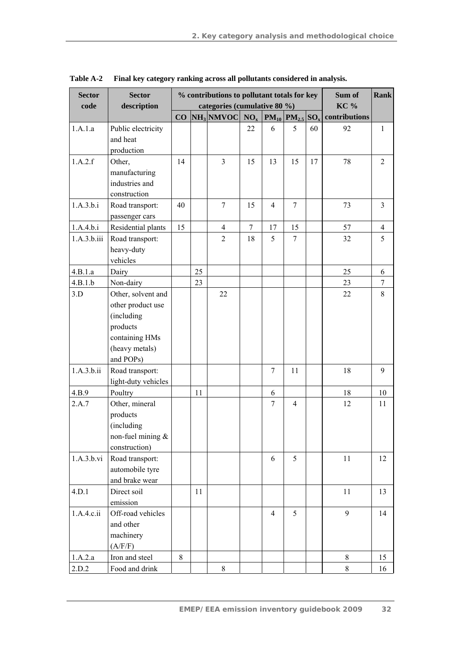| <b>Sector</b><br>code | <b>Sector</b><br>description                                                                                       |    |    | % contributions to pollutant totals for key<br>categories (cumulative 80 %) | Sum of<br><b>KC</b> % | <b>Rank</b>    |                      |                           |    |                |
|-----------------------|--------------------------------------------------------------------------------------------------------------------|----|----|-----------------------------------------------------------------------------|-----------------------|----------------|----------------------|---------------------------|----|----------------|
|                       |                                                                                                                    |    |    | $CO \overline{\text{NH}_3}$ NMVOC NO <sub>x</sub>                           |                       |                | $PM_{10}$ $PM_{2.5}$ | contributions<br>$SO_{x}$ |    |                |
| 1.A.1.a               | Public electricity<br>and heat<br>production                                                                       |    |    |                                                                             | 22                    | 6              | 5                    | 60                        | 92 | $\mathbf{1}$   |
| 1.A.2.f               | Other,<br>manufacturing<br>industries and<br>construction                                                          | 14 |    | $\overline{3}$                                                              | 15                    | 13             | 15                   | 17                        | 78 | $\overline{2}$ |
| 1.A.3.b.i             | Road transport:<br>passenger cars                                                                                  | 40 |    | $\tau$                                                                      | 15                    | $\overline{4}$ | $\tau$               |                           | 73 | $\mathfrak{Z}$ |
| 1.A.4.b.i             | Residential plants                                                                                                 | 15 |    | $\overline{4}$                                                              | 7                     | 17             | 15                   |                           | 57 | $\overline{4}$ |
| 1.A.3.b.iii           | Road transport:<br>heavy-duty<br>vehicles                                                                          |    |    | $\overline{2}$                                                              | 18                    | 5              | 7                    |                           | 32 | 5              |
| 4.B.1.a               | Dairy                                                                                                              |    | 25 |                                                                             |                       |                |                      |                           | 25 | 6              |
| 4.B.1.b               | Non-dairy                                                                                                          |    | 23 |                                                                             |                       |                |                      |                           | 23 | 7              |
| 3.D                   | Other, solvent and<br>other product use<br>(including<br>products<br>containing HMs<br>(heavy metals)<br>and POPs) |    |    | 22                                                                          |                       |                |                      |                           | 22 | 8              |
| 1.A.3.b.ii            | Road transport:<br>light-duty vehicles                                                                             |    |    |                                                                             |                       | $\overline{7}$ | 11                   |                           | 18 | 9              |
| 4.B.9                 | Poultry                                                                                                            |    | 11 |                                                                             |                       | 6              |                      |                           | 18 | 10             |
| 2.A.7                 | Other, mineral<br>products<br>(including<br>non-fuel mining $\&$<br>construction)                                  |    |    |                                                                             |                       | 7              | $\overline{4}$       |                           | 12 | 11             |
| 1.A.3.b.vi            | Road transport:<br>automobile tyre<br>and brake wear                                                               |    |    |                                                                             |                       | 6              | 5                    |                           | 11 | 12             |
| 4.D.1                 | Direct soil<br>emission                                                                                            |    | 11 |                                                                             |                       |                |                      |                           | 11 | 13             |
| 1.A.4.c.ii            | Off-road vehicles<br>and other<br>machinery<br>(A/F/F)                                                             |    |    |                                                                             |                       | $\overline{4}$ | 5                    |                           | 9  | 14             |
| 1.A.2.a               | Iron and steel                                                                                                     | 8  |    |                                                                             |                       |                |                      |                           | 8  | 15             |
| 2.D.2                 | Food and drink                                                                                                     |    |    | $8\,$                                                                       |                       |                |                      |                           | 8  | 16             |

**Table A-2 Final key category ranking across all pollutants considered in analysis.**